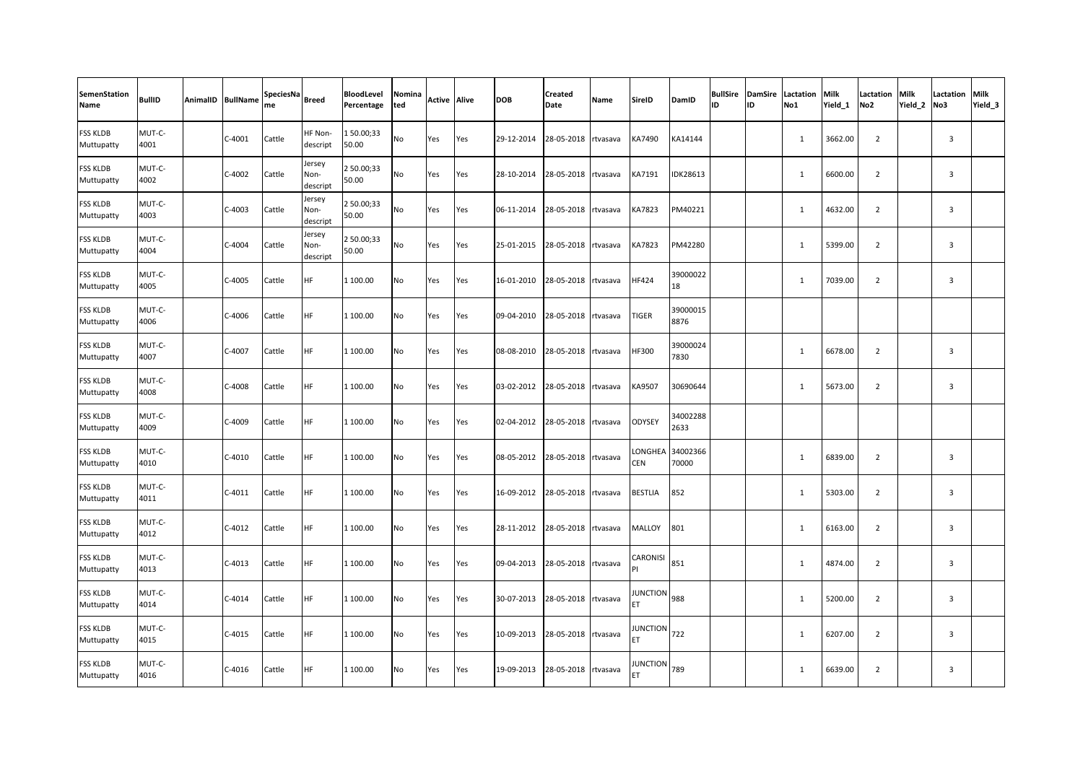| <b>SemenStation</b><br>Name   | <b>BullID</b>  | AnimalID BullName | SpeciesNa Breed<br>me |                            | BloodLevel<br>Percentage | Nomina<br>ted | <b>Active Alive</b> |     | <b>DOB</b> | <b>Created</b><br>Date | Name | SireID                | DamID             | ID | ID | <b>BullSire DamSire Lactation</b><br>No1 | Milk<br>Yield 1 | Lactation<br>No <sub>2</sub> | Milk<br>Yield 2 | <b>Lactation Milk</b><br>No3 | Yield <sub>3</sub> |
|-------------------------------|----------------|-------------------|-----------------------|----------------------------|--------------------------|---------------|---------------------|-----|------------|------------------------|------|-----------------------|-------------------|----|----|------------------------------------------|-----------------|------------------------------|-----------------|------------------------------|--------------------|
| <b>FSS KLDB</b><br>Muttupatty | MUT-C-<br>4001 | $C-4001$          | Cattle                | HF Non-<br>descript        | 150.00;33<br>50.00       | No            | Yes                 | Yes | 29-12-2014 | 28-05-2018 rtvasava    |      | KA7490                | KA14144           |    |    | $\mathbf{1}$                             | 3662.00         | $\overline{2}$               |                 | $\overline{\mathbf{3}}$      |                    |
| <b>FSS KLDB</b><br>Muttupatty | MUT-C-<br>4002 | $C-4002$          | Cattle                | Jersey<br>Non-<br>descript | 2 50.00;33<br>50.00      | No            | Yes                 | Yes | 28-10-2014 | 28-05-2018 rtvasava    |      | KA7191                | <b>IDK28613</b>   |    |    | $\mathbf{1}$                             | 6600.00         | $\overline{2}$               |                 | $\overline{3}$               |                    |
| <b>FSS KLDB</b><br>Muttupatty | MUT-C-<br>4003 | $C-4003$          | Cattle                | Jersey<br>Non-<br>descript | 2 50.00;33<br>50.00      | No            | Yes                 | Yes | 06-11-2014 | 28-05-2018 rtvasava    |      | KA7823                | PM40221           |    |    | $\mathbf{1}$                             | 4632.00         | $\overline{2}$               |                 | $\overline{3}$               |                    |
| <b>FSS KLDB</b><br>Muttupatty | MUT-C-<br>4004 | $C-4004$          | Cattle                | Jersey<br>Non-<br>descript | 2 50.00;33<br>50.00      | No            | Yes                 | Yes | 25-01-2015 | 28-05-2018 rtvasava    |      | KA7823                | PM42280           |    |    | $\mathbf{1}$                             | 5399.00         | $\overline{2}$               |                 | $\overline{3}$               |                    |
| FSS KLDB<br>Muttupatty        | MUT-C-<br>4005 | $C-4005$          | Cattle                | <b>HF</b>                  | 1 100.00                 | No            | Yes                 | Yes | 16-01-2010 | 28-05-2018 rtvasava    |      | HF424                 | 39000022<br>18    |    |    | $\mathbf{1}$                             | 7039.00         | $\overline{2}$               |                 | $\overline{\mathbf{3}}$      |                    |
| FSS KLDB<br>Muttupatty        | MUT-C-<br>4006 | C-4006            | Cattle                | HF                         | 1 100.00                 | No            | Yes                 | Yes | 09-04-2010 | 28-05-2018 rtvasava    |      | TIGER                 | 39000015<br>8876  |    |    |                                          |                 |                              |                 |                              |                    |
| <b>FSS KLDB</b><br>Muttupatty | MUT-C-<br>4007 | C-4007            | Cattle                | <b>HF</b>                  | 1 100.00                 | No            | Yes                 | Yes | 08-08-2010 | 28-05-2018 rtvasava    |      | HF300                 | 39000024<br>7830  |    |    | $\mathbf{1}$                             | 6678.00         | $\overline{2}$               |                 | $\overline{3}$               |                    |
| <b>FSS KLDB</b><br>Muttupatty | MUT-C-<br>4008 | $C-4008$          | Cattle                | <b>HF</b>                  | 1 100.00                 | No            | Yes                 | Yes | 03-02-2012 | 28-05-2018 rtvasava    |      | KA9507                | 30690644          |    |    | 1                                        | 5673.00         | $\overline{2}$               |                 | $\overline{3}$               |                    |
| <b>FSS KLDB</b><br>Muttupatty | MUT-C-<br>4009 | $C-4009$          | Cattle                | <b>HF</b>                  | 1 100.00                 | No            | Yes                 | Yes | 02-04-2012 | 28-05-2018 rtvasava    |      | ODYSEY                | 34002288<br>2633  |    |    |                                          |                 |                              |                 |                              |                    |
| FSS KLDB<br>Muttupatty        | MUT-C-<br>4010 | $C-4010$          | Cattle                | <b>HF</b>                  | 1 100.00                 | No            | Yes                 | Yes | 08-05-2012 | 28-05-2018 rtvasava    |      | LONGHEA<br><b>CEN</b> | 34002366<br>70000 |    |    | $\mathbf{1}$                             | 6839.00         | $\overline{2}$               |                 | $\overline{3}$               |                    |
| FSS KLDB<br>Muttupatty        | MUT-C-<br>4011 | $C-4011$          | Cattle                | <b>HF</b>                  | 1 100.00                 | No            | Yes                 | Yes | 16-09-2012 | 28-05-2018 rtvasava    |      | BESTLIA               | 852               |    |    | 1                                        | 5303.00         | $\overline{2}$               |                 | $\overline{3}$               |                    |
| <b>FSS KLDB</b><br>Muttupatty | MUT-C-<br>4012 | $C-4012$          | Cattle                | <b>HF</b>                  | 1 100.00                 | No            | Yes                 | Yes | 28-11-2012 | 28-05-2018 rtvasava    |      | MALLOY                | 801               |    |    | $\mathbf{1}$                             | 6163.00         | $\overline{2}$               |                 | $\overline{\mathbf{3}}$      |                    |
| FSS KLDB<br>Muttupatty        | MUT-C-<br>4013 | $C-4013$          | Cattle                | <b>HF</b>                  | 1 100.00                 | No            | Yes                 | Yes | 09-04-2013 | 28-05-2018 rtvasava    |      | CARONISI<br>PI        | 851               |    |    | 1                                        | 4874.00         | 2                            |                 | $\overline{3}$               |                    |
| <b>FSS KLDB</b><br>Muttupatty | MUT-C-<br>4014 | $C-4014$          | Cattle                | <b>HF</b>                  | 1 100.00                 | No            | Yes                 | Yes | 30-07-2013 | 28-05-2018 rtvasava    |      | JUNCTION 988          |                   |    |    | $\mathbf{1}$                             | 5200.00         | $\overline{2}$               |                 | $\overline{3}$               |                    |
| <b>FSS KLDB</b><br>Muttupatty | MUT-C-<br>4015 | $C-4015$          | Cattle                | <b>HF</b>                  | 1 100.00                 | No            | Yes                 | Yes | 10-09-2013 | 28-05-2018 rtvasava    |      | JUNCTION 722<br>ET    |                   |    |    | $\mathbf{1}$                             | 6207.00         | $\overline{2}$               |                 | $\overline{3}$               |                    |
| FSS KLDB<br>Muttupatty        | MUT-C-<br>4016 | $C-4016$          | Cattle                | <b>HF</b>                  | 1 100.00                 | No            | Yes                 | Yes | 19-09-2013 | 28-05-2018 rtvasava    |      | JUNCTION 789          |                   |    |    | $\mathbf{1}$                             | 6639.00         | $\overline{2}$               |                 | $\overline{3}$               |                    |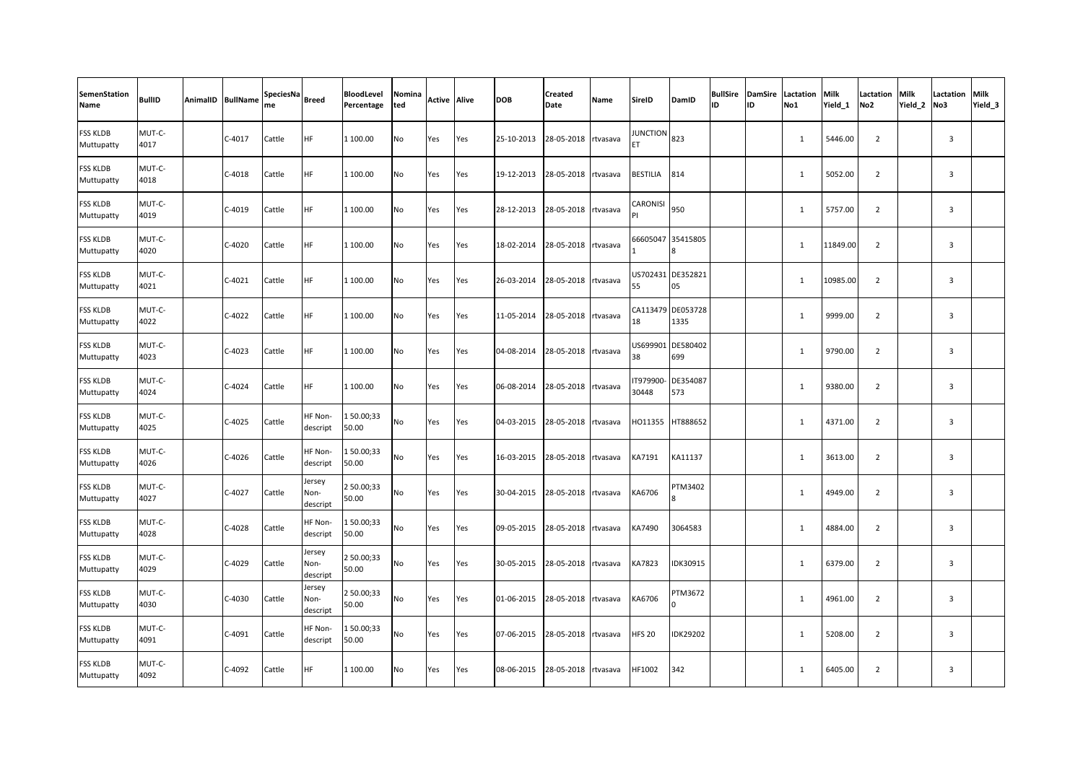| <b>SemenStation</b><br>Name   | <b>BullID</b>  | AnimalID BullName | SpeciesNa<br>me | <b>Breed</b>               | BloodLevel<br>Percentage | Nomina<br>ted | <b>Active Alive</b> |     | <b>DOB</b> | <b>Created</b><br>Date | Name     | <b>SireID</b>          | DamID                             | ID | ID | <b>BullSire DamSire Lactation</b><br>No1 | Milk<br>Yield 1 | Lactation<br>No <sub>2</sub> | <b>Milk</b><br>Yield <sub>2</sub> | <b>Lactation Milk</b><br>No3 | Yield <sub>3</sub> |
|-------------------------------|----------------|-------------------|-----------------|----------------------------|--------------------------|---------------|---------------------|-----|------------|------------------------|----------|------------------------|-----------------------------------|----|----|------------------------------------------|-----------------|------------------------------|-----------------------------------|------------------------------|--------------------|
| <b>FSS KLDB</b><br>Muttupatty | MUT-C-<br>4017 | $C-4017$          | Cattle          | <b>HF</b>                  | 1 100.00                 | No            | Yes                 | Yes | 25-10-2013 | 28-05-2018 rtvasava    |          | <b>JUNCTION</b><br>FT. | 823                               |    |    | $\mathbf{1}$                             | 5446.00         | $\overline{2}$               |                                   | $\overline{3}$               |                    |
| <b>FSS KLDB</b><br>Muttupatty | MUT-C-<br>4018 | $C-4018$          | Cattle          | <b>HF</b>                  | 1 100.00                 | No            | Yes                 | Yes | 19-12-2013 | 28-05-2018 rtvasava    |          | BESTILIA               | 814                               |    |    | 1                                        | 5052.00         | $\overline{2}$               |                                   | $\overline{3}$               |                    |
| <b>FSS KLDB</b><br>Muttupatty | MUT-C-<br>4019 | $C-4019$          | Cattle          | <b>HF</b>                  | 1 100.00                 | No            | Yes                 | Yes | 28-12-2013 | 28-05-2018 rtvasava    |          | CARONISI               | 950                               |    |    | $\mathbf{1}$                             | 5757.00         | $\overline{2}$               |                                   | 3                            |                    |
| <b>FSS KLDB</b><br>Muttupatty | MUT-C-<br>4020 | $C-4020$          | Cattle          | HF                         | 1 100.00                 | No            | Yes                 | Yes | 18-02-2014 | 28-05-2018 rtvasava    |          |                        | 66605047 35415805<br>$\mathbf{8}$ |    |    | 1                                        | 11849.00        | $\overline{2}$               |                                   | $\overline{3}$               |                    |
| FSS KLDB<br>Muttupatty        | MUT-C-<br>4021 | $C-4021$          | Cattle          | <b>HF</b>                  | 1 100.00                 | No            | Yes                 | Yes | 26-03-2014 | 28-05-2018 rtvasava    |          | 55                     | US702431 DE352821<br>05           |    |    | $\mathbf{1}$                             | 10985.00        | $\overline{2}$               |                                   | $\overline{3}$               |                    |
| <b>FSS KLDB</b><br>Muttupatty | MUT-C-<br>4022 | $C-4022$          | Cattle          | <b>HF</b>                  | 1 100.00                 | No            | Yes                 | Yes | 11-05-2014 | 28-05-2018 rtvasava    |          | 18                     | CA113479 DE053728<br>1335         |    |    | $\mathbf{1}$                             | 9999.00         | $\overline{2}$               |                                   | $\overline{\mathbf{3}}$      |                    |
| <b>FSS KLDB</b><br>Muttupatty | MUT-C-<br>4023 | $C-4023$          | Cattle          | <b>HF</b>                  | 1 100.00                 | No            | Yes                 | Yes | 04-08-2014 | 28-05-2018 rtvasava    |          | US699901<br>38         | DE580402<br>699                   |    |    | $\mathbf{1}$                             | 9790.00         | $\overline{2}$               |                                   | $\overline{3}$               |                    |
| <b>FSS KLDB</b><br>Muttupatty | MUT-C-<br>4024 | $C-4024$          | Cattle          | <b>HF</b>                  | 1 100.00                 | No            | Yes                 | Yes | 06-08-2014 | 28-05-2018 rtvasava    |          | T979900-<br>30448      | DE354087<br>573                   |    |    | $\mathbf{1}$                             | 9380.00         | $\overline{2}$               |                                   | $\overline{3}$               |                    |
| <b>FSS KLDB</b><br>Muttupatty | MUT-C-<br>4025 | $C-4025$          | Cattle          | HF Non-<br>descript        | 150.00;33<br>50.00       | No            | Yes                 | Yes | 04-03-2015 | 28-05-2018 rtvasava    |          | HO11355                | HT888652                          |    |    | $\mathbf{1}$                             | 4371.00         | $\overline{2}$               |                                   | $\overline{\mathbf{3}}$      |                    |
| FSS KLDB<br>Muttupatty        | MUT-C-<br>4026 | $C-4026$          | Cattle          | HF Non-<br>descript        | 150.00;33<br>50.00       | No            | Yes                 | Yes | 16-03-2015 | 28-05-2018 rtvasava    |          | KA7191                 | KA11137                           |    |    | 1                                        | 3613.00         | $\overline{2}$               |                                   | $\overline{\mathbf{3}}$      |                    |
| FSS KLDB<br>Muttupatty        | MUT-C-<br>4027 | $C-4027$          | Cattle          | Jersey<br>Non-<br>descript | 2 50.00;33<br>50.00      | No            | Yes                 | Yes | 30-04-2015 | 28-05-2018 rtvasava    |          | KA6706                 | PTM3402                           |    |    | 1                                        | 4949.00         | $\overline{2}$               |                                   | $\overline{3}$               |                    |
| FSS KLDB<br>Muttupatty        | MUT-C-<br>4028 | $C-4028$          | Cattle          | HF Non-<br>descript        | 150.00;33<br>50.00       | No            | Yes                 | Yes | 09-05-2015 | 28-05-2018 rtvasava    |          | KA7490                 | 3064583                           |    |    | 1                                        | 4884.00         | $\overline{2}$               |                                   | 3                            |                    |
| FSS KLDB<br>Muttupatty        | MUT-C-<br>4029 | $C-4029$          | Cattle          | Jersey<br>Non-<br>descript | 2 50.00;33<br>50.00      | No            | Yes                 | Yes | 30-05-2015 | 28-05-2018             | rtvasava | KA7823                 | IDK30915                          |    |    | 1                                        | 6379.00         | $\overline{2}$               |                                   | $\overline{3}$               |                    |
| FSS KLDB<br>Muttupatty        | MUT-C-<br>4030 | $C-4030$          | Cattle          | Jersey<br>Non-<br>descript | 2 50.00;33<br>50.00      | No            | Yes                 | Yes | 01-06-2015 | 28-05-2018 rtvasava    |          | KA6706                 | PTM3672                           |    |    | $\mathbf{1}$                             | 4961.00         | $\overline{2}$               |                                   | $\overline{3}$               |                    |
| <b>FSS KLDB</b><br>Muttupatty | MUT-C-<br>4091 | $C-4091$          | Cattle          | HF Non-<br>descript        | 150.00;33<br>50.00       | No            | Yes                 | Yes | 07-06-2015 | 28-05-2018 rtvasava    |          | <b>HFS 20</b>          | <b>IDK29202</b>                   |    |    | $\mathbf{1}$                             | 5208.00         | $\overline{2}$               |                                   | $\overline{\mathbf{3}}$      |                    |
| FSS KLDB<br>Muttupatty        | MUT-C-<br>4092 | C-4092            | Cattle          | <b>HF</b>                  | 1 100.00                 | No            | Yes                 | Yes | 08-06-2015 | 28-05-2018 rtvasava    |          | HF1002                 | 342                               |    |    | $\mathbf{1}$                             | 6405.00         | $\overline{2}$               |                                   | $\overline{3}$               |                    |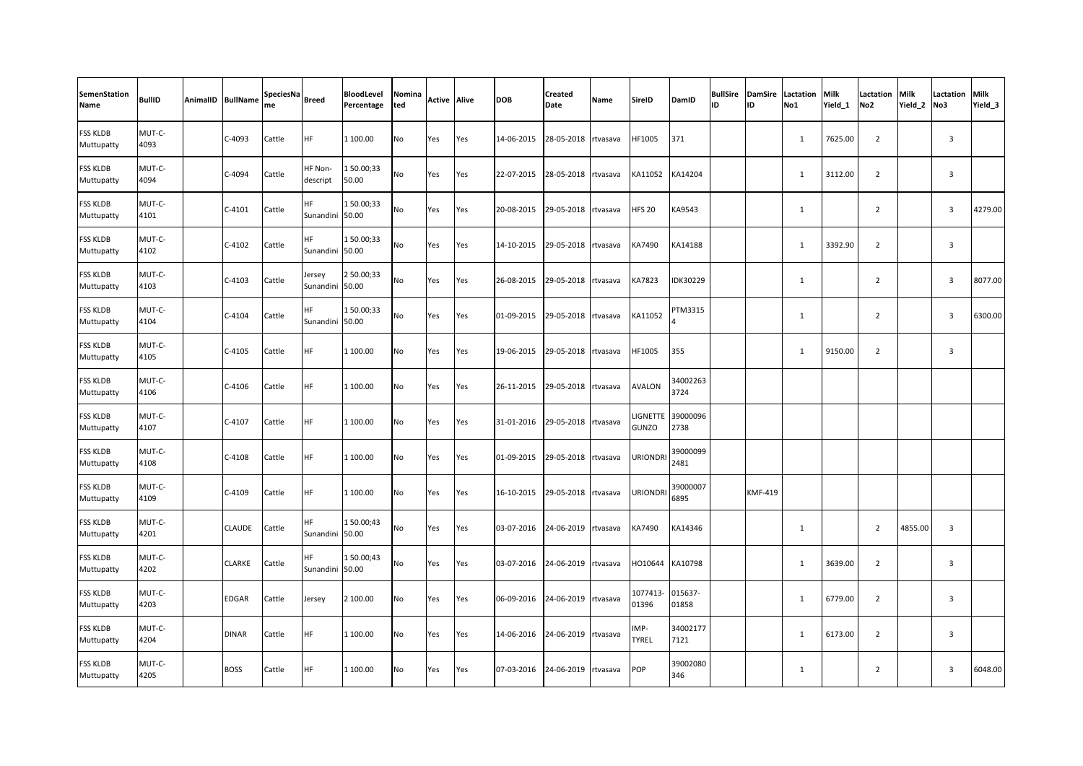| <b>SemenStation</b><br>Name   | <b>BullID</b>  | AnimalID BullName | SpeciesNa<br>me | <b>Breed</b>           | BloodLevel<br>Percentage | Nomina<br>ted | Active | <b>Alive</b> | <b>DOB</b> | Created<br>Date | Name     | <b>SireID</b>        | DamID            | <b>ID</b> | <b>BullSire DamSire</b><br>ID | Lactation<br>No1 | <b>Milk</b><br>Yield 1 | Lactation<br>No <sub>2</sub> | Milk<br>Yield 2 | <b>Lactation Milk</b><br>No3 | Yield <sub>3</sub> |
|-------------------------------|----------------|-------------------|-----------------|------------------------|--------------------------|---------------|--------|--------------|------------|-----------------|----------|----------------------|------------------|-----------|-------------------------------|------------------|------------------------|------------------------------|-----------------|------------------------------|--------------------|
| <b>FSS KLDB</b><br>Muttupatty | MUT-C-<br>4093 | C-4093            | Cattle          | <b>HF</b>              | 1 100.00                 | No            | Yes    | Yes          | 14-06-2015 | 28-05-2018      | rtvasava | HF1005               | 371              |           |                               | $\mathbf{1}$     | 7625.00                | $\overline{2}$               |                 | $\overline{3}$               |                    |
| <b>FSS KLDB</b><br>Muttupatty | MUT-C-<br>4094 | C-4094            | Cattle          | HF Non-<br>descript    | 150.00;33<br>50.00       | No            | Yes    | Yes          | 22-07-2015 | 28-05-2018      | rtvasava | KA11052              | KA14204          |           |                               | 1                | 3112.00                | $\overline{2}$               |                 | $\overline{3}$               |                    |
| FSS KLDB<br>Muttupatty        | MUT-C-<br>4101 | $C-4101$          | Cattle          | HF<br>Sunandini        | 150.00;33<br>50.00       | No            | Yes    | Yes          | 20-08-2015 | 29-05-2018      | rtvasava | <b>HFS 20</b>        | KA9543           |           |                               | $\mathbf{1}$     |                        | $\overline{2}$               |                 | $\overline{3}$               | 4279.00            |
| FSS KLDB<br>Muttupatty        | MUT-C-<br>4102 | $C-4102$          | Cattle          | <b>HF</b><br>Sunandini | 150.00;33<br>50.00       | No            | Yes    | Yes          | 14-10-2015 | 29-05-2018      | rtvasava | KA7490               | KA14188          |           |                               | $\mathbf{1}$     | 3392.90                | $\overline{2}$               |                 | $\overline{3}$               |                    |
| <b>FSS KLDB</b><br>Muttupatty | MUT-C-<br>4103 | $C-4103$          | Cattle          | Jersey<br>Sunandini    | 2 50.00;33<br>50.00      | No            | Yes    | Yes          | 26-08-2015 | 29-05-2018      | rtvasava | KA7823               | IDK30229         |           |                               | $\mathbf{1}$     |                        | $\overline{2}$               |                 | $\overline{3}$               | 8077.00            |
| FSS KLDB<br>Muttupatty        | MUT-C-<br>4104 | $C-4104$          | Cattle          | HF<br>Sunandini        | 150.00;33<br>50.00       | No            | Yes    | Yes          | 01-09-2015 | 29-05-2018      | rtvasava | KA11052              | TM3315           |           |                               | $\mathbf{1}$     |                        | $\overline{2}$               |                 | $\overline{3}$               | 6300.00            |
| <b>FSS KLDB</b><br>Muttupatty | MUT-C-<br>4105 | $C-4105$          | Cattle          | <b>HF</b>              | 1 100.00                 | No            | Yes    | Yes          | 19-06-2015 | 29-05-2018      | rtvasava | HF1005               | 355              |           |                               | 1                | 9150.00                | $\overline{2}$               |                 | $\overline{3}$               |                    |
| <b>FSS KLDB</b><br>Muttupatty | MUT-C-<br>4106 | $C-4106$          | Cattle          | <b>HF</b>              | 1 100.00                 | No            | Yes    | Yes          | 26-11-2015 | 29-05-2018      | rtvasava | <b>AVALON</b>        | 34002263<br>3724 |           |                               |                  |                        |                              |                 |                              |                    |
| <b>FSS KLDB</b><br>Muttupatty | MUT-C-<br>4107 | $C-4107$          | Cattle          | <b>HF</b>              | 1 100.00                 | No            | Yes    | Yes          | 31-01-2016 | 29-05-2018      | rtvasava | LIGNETTE<br>GUNZO    | 39000096<br>2738 |           |                               |                  |                        |                              |                 |                              |                    |
| FSS KLDB<br>Muttupatty        | MUT-C-<br>4108 | $C-4108$          | Cattle          | <b>HF</b>              | 1 100.00                 | No            | Yes    | Yes          | 01-09-2015 | 29-05-2018      | rtvasava | <b>URIONDR</b>       | 39000099<br>2481 |           |                               |                  |                        |                              |                 |                              |                    |
| <b>FSS KLDB</b><br>Muttupatty | MUT-C-<br>4109 | $C-4109$          | Cattle          | <b>HF</b>              | 1 100.00                 | No            | Yes    | Yes          | 16-10-2015 | 29-05-2018      | rtvasava | <b>URIONDR</b>       | 39000007<br>6895 |           | <b>KMF-419</b>                |                  |                        |                              |                 |                              |                    |
| <b>FSS KLDB</b><br>Muttupatty | MUT-C-<br>4201 | <b>CLAUDE</b>     | Cattle          | <b>HF</b><br>Sunandini | 150.00;43<br>50.00       | No            | Yes    | Yes          | 03-07-2016 | 24-06-2019      | rtvasava | KA7490               | KA14346          |           |                               | $\mathbf{1}$     |                        | $\overline{2}$               | 4855.00         | $\overline{3}$               |                    |
| FSS KLDB<br>Muttupatty        | MUT-C-<br>4202 | <b>CLARKE</b>     | Cattle          | HF<br>Sunandini        | 150.00;43<br>50.00       | No            | Yes    | Yes          | 03-07-2016 | 24-06-2019      | rtvasava | HO10644              | KA10798          |           |                               | 1                | 3639.00                | $\overline{2}$               |                 | $\overline{3}$               |                    |
| <b>FSS KLDB</b><br>Muttupatty | MUT-C-<br>4203 | <b>EDGAR</b>      | Cattle          | Jersey                 | 2 100.00                 | No            | Yes    | Yes          | 06-09-2016 | 24-06-2019      | rtvasava | 1077413<br>01396     | 015637-<br>01858 |           |                               | 1                | 6779.00                | $\overline{2}$               |                 | $\overline{3}$               |                    |
| <b>FSS KLDB</b><br>Muttupatty | MUT-C-<br>4204 | <b>DINAR</b>      | Cattle          | <b>HF</b>              | 1 100.00                 | No            | Yes    | Yes          | 14-06-2016 | 24-06-2019      | rtvasava | IMP-<br><b>TYREL</b> | 34002177<br>7121 |           |                               | $\mathbf{1}$     | 6173.00                | $\overline{2}$               |                 | $\overline{3}$               |                    |
| FSS KLDB<br>Muttupatty        | MUT-C-<br>4205 | <b>BOSS</b>       | Cattle          | <b>HF</b>              | 1 100.00                 | No            | Yes    | Yes          | 07-03-2016 | 24-06-2019      | rtvasava | POP                  | 39002080<br>346  |           |                               | $\mathbf{1}$     |                        | $\overline{2}$               |                 | $\overline{3}$               | 6048.00            |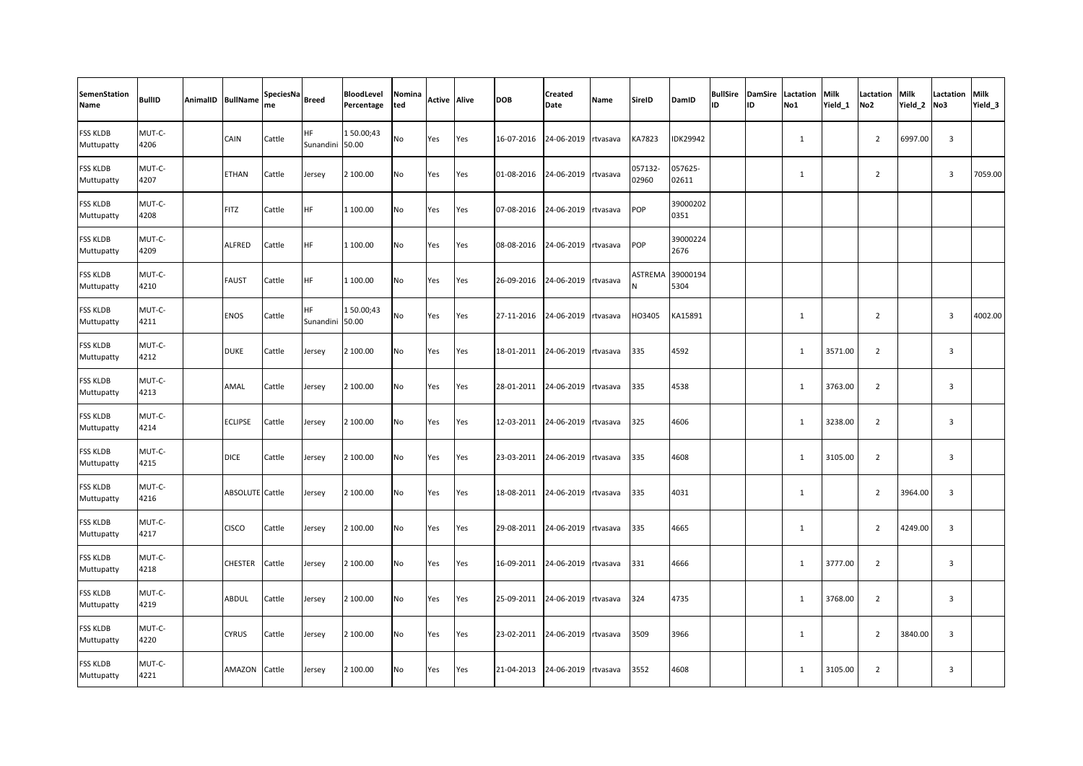| <b>SemenStation</b><br>Name   | <b>BullID</b>  | AnimalID BullName      | SpeciesNa<br>me | <b>Breed</b>           | BloodLevel<br>Percentage | Nomina<br>ted | <b>Active Alive</b> |     | <b>DOB</b> | Created<br>Date | Name     | <b>SireID</b>    | DamID            | ID | ID | <b>BullSire DamSire Lactation</b><br>No1 | <b>Milk</b><br>Yield 1 | Lactation<br>No <sub>2</sub> | Milk<br>Yield 2 | Lactation<br>No3 | Milk<br>Yield <sub>3</sub> |
|-------------------------------|----------------|------------------------|-----------------|------------------------|--------------------------|---------------|---------------------|-----|------------|-----------------|----------|------------------|------------------|----|----|------------------------------------------|------------------------|------------------------------|-----------------|------------------|----------------------------|
| FSS KLDB<br>Muttupatty        | MUT-C-<br>4206 | CAIN                   | Cattle          | <b>HF</b><br>Sunandini | 150.00;43<br>50.00       | No            | Yes                 | Yes | 16-07-2016 | 24-06-2019      | rtvasava | KA7823           | IDK29942         |    |    | $\mathbf{1}$                             |                        | $\overline{2}$               | 6997.00         | $\overline{3}$   |                            |
| <b>FSS KLDB</b><br>Muttupatty | MUT-C-<br>4207 | <b>ETHAN</b>           | Cattle          | Jersey                 | 2 100.00                 | No            | Yes                 | Yes | 01-08-2016 | 24-06-2019      | rtvasava | 057132-<br>02960 | 057625-<br>02611 |    |    | $\mathbf{1}$                             |                        | $\overline{2}$               |                 | $\overline{3}$   | 7059.00                    |
| FSS KLDB<br>Muttupatty        | MUT-C-<br>4208 | <b>FITZ</b>            | Cattle          | HF                     | 1 100.00                 | No            | Yes                 | Yes | 07-08-2016 | 24-06-2019      | rtvasava | <b>POP</b>       | 39000202<br>0351 |    |    |                                          |                        |                              |                 |                  |                            |
| <b>FSS KLDB</b><br>Muttupatty | MUT-C-<br>4209 | <b>ALFRED</b>          | Cattle          | HF                     | 1 100.00                 | No            | Yes                 | Yes | 08-08-2016 | 24-06-2019      | rtvasava | POP              | 39000224<br>2676 |    |    |                                          |                        |                              |                 |                  |                            |
| FSS KLDB<br>Muttupatty        | MUT-C-<br>4210 | <b>FAUST</b>           | Cattle          | <b>HF</b>              | 1 100.00                 | No            | Yes                 | Yes | 26-09-2016 | 24-06-2019      | rtvasava | ASTREMA          | 39000194<br>5304 |    |    |                                          |                        |                              |                 |                  |                            |
| FSS KLDB<br>Muttupatty        | MUT-C-<br>4211 | <b>ENOS</b>            | Cattle          | <b>HF</b><br>Sunandini | 150.00;43<br>50.00       | <b>No</b>     | Yes                 | Yes | 27-11-2016 | 24-06-2019      | rtvasava | HO3405           | KA15891          |    |    | $\mathbf{1}$                             |                        | 2                            |                 | $\overline{3}$   | 4002.00                    |
| <b>FSS KLDB</b><br>Muttupatty | MUT-C-<br>4212 | <b>DUKE</b>            | Cattle          | Jersey                 | 2 100.00                 | No            | Yes                 | Yes | 18-01-2011 | 24-06-2019      | rtvasava | 335              | 4592             |    |    | 1                                        | 3571.00                | $\overline{2}$               |                 | $\overline{3}$   |                            |
| <b>FSS KLDB</b><br>Muttupatty | MUT-C-<br>4213 | AMAL                   | Cattle          | Jersey                 | 2 100.00                 | <b>No</b>     | Yes                 | Yes | 28-01-2011 | 24-06-2019      | rtvasava | 335              | 4538             |    |    | 1                                        | 3763.00                | $\overline{2}$               |                 | $\overline{3}$   |                            |
| FSS KLDB<br>Muttupatty        | MUT-C-<br>4214 | <b>ECLIPSE</b>         | Cattle          | Jersey                 | 2 100.00                 | No            | Yes                 | Yes | 12-03-2011 | 24-06-2019      | rtvasava | 325              | 4606             |    |    | 1                                        | 3238.00                | $\overline{2}$               |                 | $\overline{3}$   |                            |
| FSS KLDB<br>Muttupatty        | MUT-C-<br>4215 | <b>DICE</b>            | Cattle          | Jersey                 | 2 100.00                 | No            | Yes                 | Yes | 23-03-2011 | 24-06-2019      | rtvasava | 335              | 4608             |    |    | $\mathbf{1}$                             | 3105.00                | $\overline{2}$               |                 | $\overline{3}$   |                            |
| FSS KLDB<br>Muttupatty        | MUT-C-<br>4216 | <b>ABSOLUTE</b> Cattle |                 | Jersey                 | 2 100.00                 | No            | Yes                 | Yes | 18-08-2011 | 24-06-2019      | rtvasava | 335              | 4031             |    |    | $\mathbf{1}$                             |                        | $\overline{2}$               | 3964.00         | $\overline{3}$   |                            |
| <b>FSS KLDB</b><br>Muttupatty | MUT-C-<br>4217 | <b>CISCO</b>           | Cattle          | Jersey                 | 2 100.00                 | No            | Yes                 | Yes | 29-08-2011 | 24-06-2019      | rtvasava | 335              | 4665             |    |    | $\mathbf{1}$                             |                        | $\overline{2}$               | 4249.00         | $\overline{3}$   |                            |
| <b>FSS KLDB</b><br>Muttupatty | MUT-C-<br>4218 | <b>CHESTER</b>         | Cattle          | Jersey                 | 2 100.00                 | No            | Yes                 | Yes | 16-09-2011 | 24-06-2019      | rtvasava | 331              | 4666             |    |    | $\mathbf{1}$                             | 3777.00                | $\overline{2}$               |                 | $\overline{3}$   |                            |
| FSS KLDB<br>Muttupatty        | MUT-C-<br>4219 | ABDUL                  | Cattle          | Jersey                 | 2 100.00                 | No            | Yes                 | Yes | 25-09-2011 | 24-06-2019      | rtvasava | 324              | 4735             |    |    | $\mathbf{1}$                             | 3768.00                | $\overline{2}$               |                 | $\overline{3}$   |                            |
| <b>FSS KLDB</b><br>Muttupatty | MUT-C-<br>4220 | <b>CYRUS</b>           | Cattle          | Jersey                 | 2 100.00                 | No            | Yes                 | Yes | 23-02-2011 | 24-06-2019      | rtvasava | 3509             | 3966             |    |    | $\mathbf{1}$                             |                        | $\overline{2}$               | 3840.00         | $\overline{3}$   |                            |
| FSS KLDB<br>Muttupatty        | MUT-C-<br>4221 | AMAZON                 | Cattle          | Jersey                 | 2 100.00                 | No            | Yes                 | Yes | 21-04-2013 | 24-06-2019      | rtvasava | 3552             | 4608             |    |    | 1                                        | 3105.00                | $\overline{2}$               |                 | $\overline{3}$   |                            |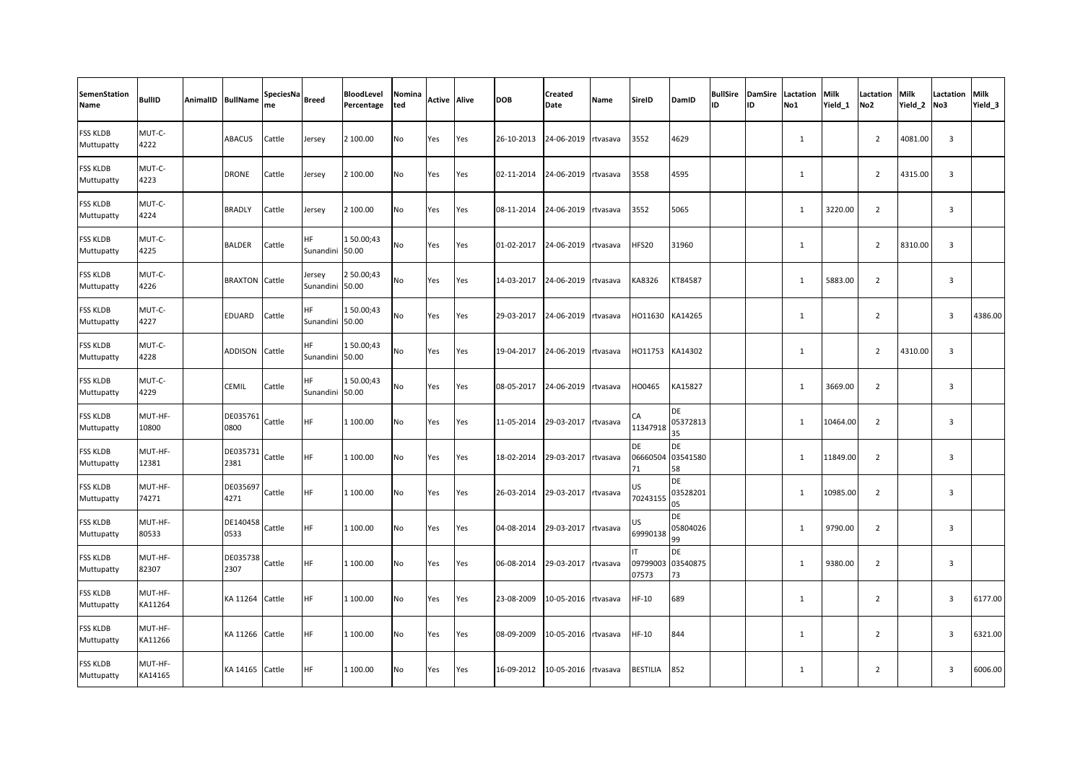| <b>SemenStation</b><br>Name   | <b>BullID</b>      | AnimalID BullName | SpeciesNa<br>me | <b>Breed</b>           | BloodLevel<br>Percentage | Nomina<br>ted | <b>Active Alive</b> |     | <b>DOB</b> | Created<br>Date | Name     | <b>SireID</b>        | DamID                       | <b>BullSire</b><br>lıd | <b>DamSire</b><br>ID | Lactation<br>No1 | <b>Milk</b><br>Yield 1 | Lactation<br>No <sub>2</sub> | Milk<br>Yield 2 | Lactation<br>No3        | Milk<br>Yield_3 |
|-------------------------------|--------------------|-------------------|-----------------|------------------------|--------------------------|---------------|---------------------|-----|------------|-----------------|----------|----------------------|-----------------------------|------------------------|----------------------|------------------|------------------------|------------------------------|-----------------|-------------------------|-----------------|
| <b>FSS KLDB</b><br>Muttupatty | MUT-C-<br>4222     | <b>ABACUS</b>     | Cattle          | Jersey                 | 2 100.00                 | No            | Yes                 | Yes | 26-10-2013 | 24-06-2019      | rtvasava | 3552                 | 4629                        |                        |                      | $\mathbf{1}$     |                        | $\overline{2}$               | 4081.00         | $\overline{3}$          |                 |
| <b>FSS KLDB</b><br>Muttupatty | MUT-C-<br>4223     | <b>DRONE</b>      | Cattle          | Jersey                 | 2 100.00                 | No            | Yes                 | Yes | 02-11-2014 | 24-06-2019      | rtvasava | 3558                 | 4595                        |                        |                      | 1                |                        | $\overline{2}$               | 4315.00         | $\overline{\mathbf{3}}$ |                 |
| <b>FSS KLDB</b><br>Muttupatty | MUT-C-<br>4224     | <b>BRADLY</b>     | Cattle          | Jersey                 | 2 100.00                 | No            | Yes                 | Yes | 08-11-2014 | 24-06-2019      | rtvasava | 3552                 | 5065                        |                        |                      | 1                | 3220.00                | $\overline{2}$               |                 | $\overline{3}$          |                 |
| FSS KLDB<br>Muttupatty        | MUT-C-<br>4225     | <b>BALDER</b>     | Cattle          | <b>HF</b><br>Sunandini | 150.00;43<br>50.00       | No            | Yes                 | Yes | 01-02-2017 | 24-06-2019      | rtvasava | HFS20                | 31960                       |                        |                      | 1                |                        | $\overline{2}$               | 8310.00         | 3                       |                 |
| FSS KLDB<br>Muttupatty        | MUT-C-<br>4226     | <b>BRAXTON</b>    | Cattle          | Jersey<br>Sunandini    | 2 50.00;43<br>50.00      | No            | Yes                 | Yes | 14-03-2017 | 24-06-2019      | rtvasava | KA8326               | KT84587                     |                        |                      | $\mathbf{1}$     | 5883.00                | $\overline{2}$               |                 | $\overline{3}$          |                 |
| FSS KLDB<br>Muttupatty        | MUT-C-<br>4227     | <b>EDUARD</b>     | Cattle          | HF.<br>Sunandini       | 150.00;43<br>50.00       | No            | Yes                 | Yes | 29-03-2017 | 24-06-2019      | rtvasava | HO11630              | KA14265                     |                        |                      | $\mathbf{1}$     |                        | $\overline{2}$               |                 | $\overline{3}$          | 4386.00         |
| FSS KLDB<br>Muttupatty        | MUT-C-<br>4228     | ADDISON           | Cattle          | HF<br>Sunandini 50.00  | 150.00;43                | No            | Yes                 | Yes | 19-04-2017 | 24-06-2019      | rtvasava | HO11753              | KA14302                     |                        |                      | $\mathbf{1}$     |                        | $\overline{2}$               | 4310.00         | $\overline{3}$          |                 |
| <b>FSS KLDB</b><br>Muttupatty | MUT-C-<br>4229     | CEMIL             | Cattle          | <b>HF</b><br>Sunandini | 150.00;43<br>50.00       | No            | Yes                 | Yes | 08-05-2017 | 24-06-2019      | rtvasava | HO0465               | KA15827                     |                        |                      | $\mathbf{1}$     | 3669.00                | $\overline{2}$               |                 | $\overline{3}$          |                 |
| FSS KLDB<br>Muttupatty        | MUT-HF-<br>10800   | DE035761<br>0800  | Cattle          | HF                     | 1 100.00                 | No            | Yes                 | Yes | 11-05-2014 | 29-03-2017      | rtvasava | CA<br>11347918       | <b>DE</b><br>05372813<br>35 |                        |                      | $\mathbf{1}$     | 10464.00               | $\overline{2}$               |                 | 3                       |                 |
| <b>FSS KLDB</b><br>Muttupatty | MUT-HF-<br>12381   | DE035731<br>2381  | Cattle          | <b>HF</b>              | 1 100.00                 | No            | Yes                 | Yes | 18-02-2014 | 29-03-2017      | rtvasava | DE<br>06660504<br>71 | DE<br>03541580<br>58        |                        |                      | 1                | 11849.00               | $\overline{2}$               |                 | $\overline{\mathbf{3}}$ |                 |
| FSS KLDB<br>Muttupatty        | MUT-HF-<br>74271   | DE035697<br>4271  | Cattle          | <b>HF</b>              | 1 100.00                 | <b>No</b>     | Yes                 | Yes | 26-03-2014 | 29-03-2017      | rtvasava | US<br>70243155       | DE<br>03528201<br>05        |                        |                      | 1                | 10985.00               | 2                            |                 | $\overline{3}$          |                 |
| FSS KLDB<br>Muttupatty        | MUT-HF-<br>80533   | DE140458<br>0533  | Cattle          | HF                     | 1 100.00                 | No            | Yes                 | Yes | 04-08-2014 | 29-03-2017      | rtvasava | US<br>69990138       | DE<br>05804026<br>99        |                        |                      | 1                | 9790.00                | $\overline{2}$               |                 | $\overline{3}$          |                 |
| <b>FSS KLDB</b><br>Muttupatty | MUT-HF-<br>82307   | DE035738<br>2307  | Cattle          | <b>HF</b>              | 1 100.00                 | No            | Yes                 | Yes | 06-08-2014 | 29-03-2017      | rtvasava | 09799003<br>07573    | DE<br>03540875<br>73        |                        |                      | $\mathbf{1}$     | 9380.00                | $\overline{2}$               |                 | $\overline{3}$          |                 |
| FSS KLDB<br>Muttupatty        | MUT-HF-<br>KA11264 | KA 11264          | Cattle          | <b>HF</b>              | 1 100.00                 | No            | Yes                 | Yes | 23-08-2009 | 10-05-2016      | rtvasava | $HF-10$              | 689                         |                        |                      | $\mathbf{1}$     |                        | $\overline{2}$               |                 | $\overline{\mathbf{3}}$ | 6177.00         |
| FSS KLDB<br>Muttupatty        | MUT-HF-<br>KA11266 | KA 11266          | Cattle          | HF                     | 1 100.00                 | No            | Yes                 | Yes | 08-09-2009 | 10-05-2016      | rtvasava | HF-10                | 844                         |                        |                      | $\mathbf{1}$     |                        | $\overline{2}$               |                 | $\overline{3}$          | 6321.00         |
| FSS KLDB<br>Muttupatty        | MUT-HF-<br>KA14165 | KA 14165          | Cattle          | HF                     | 1 100.00                 | No            | Yes                 | Yes | 16-09-2012 | 10-05-2016      | rtvasava | <b>BESTILIA</b>      | 852                         |                        |                      | 1                |                        | $\overline{2}$               |                 | $\overline{3}$          | 6006.00         |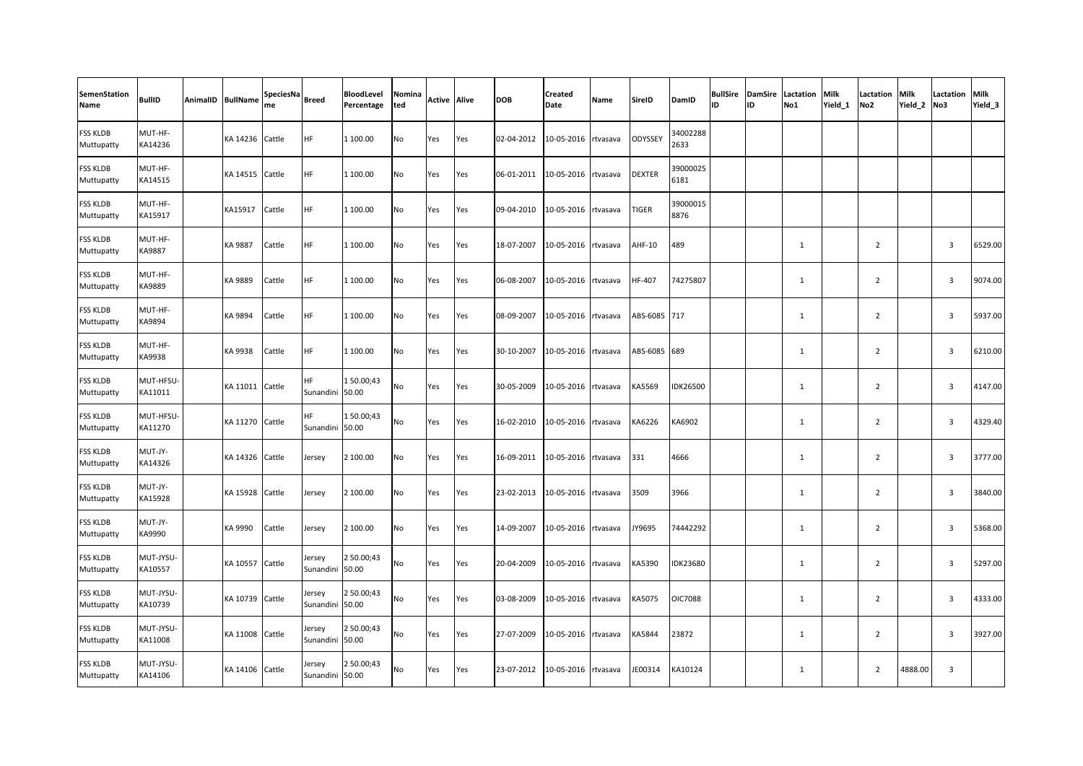| <b>SemenStation</b><br>Name   | <b>BullID</b>        | AnimalID BullName | SpeciesNa<br>me | <b>Breed</b>          | BloodLevel<br>Percentage | Nomina<br>ted | <b>Active Alive</b> |     | <b>DOB</b> | <b>Created</b><br>Date | <b>Name</b> | SireID        | DamID            | <b>BullSire</b><br>ID | <b>DamSire</b><br>ID | Lactation<br>No1 | <b>Milk</b><br>Yield 1 | Lactation<br>No <sub>2</sub> | <b>Milk</b><br>Yield <sub>2</sub> | Lactation<br>No3        | Milk<br>Yield_3 |
|-------------------------------|----------------------|-------------------|-----------------|-----------------------|--------------------------|---------------|---------------------|-----|------------|------------------------|-------------|---------------|------------------|-----------------------|----------------------|------------------|------------------------|------------------------------|-----------------------------------|-------------------------|-----------------|
| FSS KLDB<br>Muttupatty        | MUT-HF-<br>KA14236   | KA 14236 Cattle   |                 | HF.                   | 1 100.00                 | No            | Yes                 | Yes | 02-04-2012 | 10-05-2016             | rtvasava    | ODYSSEY       | 34002288<br>2633 |                       |                      |                  |                        |                              |                                   |                         |                 |
| <b>FSS KLDB</b><br>Muttupatty | MUT-HF-<br>KA14515   | KA 14515 Cattle   |                 | HF.                   | 1 100.00                 | No            | Yes                 | Yes | 06-01-2011 | 10-05-2016             | rtvasava    | <b>DEXTER</b> | 39000025<br>6181 |                       |                      |                  |                        |                              |                                   |                         |                 |
| FSS KLDB<br>Muttupatty        | MUT-HF-<br>KA15917   | KA15917           | Cattle          | HF                    | 1 100.00                 | No            | Yes                 | Yes | 09-04-2010 | 10-05-2016 rtvasava    |             | TIGER         | 39000015<br>8876 |                       |                      |                  |                        |                              |                                   |                         |                 |
| FSS KLDB<br>Muttupatty        | MUT-HF-<br>KA9887    | KA 9887           | Cattle          | HF                    | 1 100.00                 | No            | Yes                 | Yes | 18-07-2007 | 10-05-2016             | rtvasava    | AHF-10        | 489              |                       |                      | $\mathbf{1}$     |                        | $\overline{2}$               |                                   | $\overline{\mathbf{3}}$ | 6529.00         |
| FSS KLDB<br>Muttupatty        | MUT-HF-<br>KA9889    | KA 9889           | Cattle          | HF                    | 1 100.00                 | No            | Yes                 | Yes | 06-08-2007 | 10-05-2016             | rtvasava    | HF-407        | 74275807         |                       |                      | $\mathbf{1}$     |                        | $\overline{2}$               |                                   | $\overline{3}$          | 9074.00         |
| FSS KLDB<br>Muttupatty        | MUT-HF-<br>KA9894    | KA 9894           | Cattle          | HF                    | 1 100.00                 | No            | Yes                 | Yes | 08-09-2007 | 10-05-2016 rtvasava    |             | ABS-6085      | 717              |                       |                      | 1                |                        | $\overline{2}$               |                                   | $\overline{\mathbf{3}}$ | 5937.00         |
| FSS KLDB<br>Muttupatty        | MUT-HF-<br>KA9938    | KA 9938           | Cattle          | HF                    | 1 100.00                 | No            | Yes                 | Yes | 30-10-2007 | 10-05-2016             | rtvasava    | ABS-6085      | 689              |                       |                      | $\mathbf{1}$     |                        | $\overline{2}$               |                                   | $\overline{3}$          | 6210.00         |
| FSS KLDB<br>Muttupatty        | MUT-HFSU-<br>KA11011 | KA 11011 Cattle   |                 | HF<br>Sunandini 50.00 | 150.00;43                | No            | Yes                 | Yes | 30-05-2009 | 10-05-2016             | rtvasava    | KA5569        | <b>IDK26500</b>  |                       |                      | $\mathbf{1}$     |                        | $\overline{2}$               |                                   | $\overline{\mathbf{3}}$ | 4147.00         |
| FSS KLDB<br>Muttupatty        | MUT-HFSU-<br>KA11270 | KA 11270 Cattle   |                 | HF.<br>Sunandini      | 150.00;43<br>50.00       | No            | Yes                 | Yes | 16-02-2010 | 10-05-2016             | rtvasava    | KA6226        | KA6902           |                       |                      | 1                |                        | $\overline{2}$               |                                   | $\overline{\mathbf{3}}$ | 4329.40         |
| FSS KLDB<br>Muttupatty        | MUT-JY-<br>KA14326   | KA 14326          | Cattle          | Jersey                | 2 100.00                 | No            | Yes                 | Yes | 16-09-2011 | 10-05-2016             | rtvasava    | 331           | 4666             |                       |                      | $\mathbf{1}$     |                        | $\overline{2}$               |                                   | $\overline{3}$          | 3777.00         |
| FSS KLDB<br>Muttupatty        | MUT-JY-<br>KA15928   | KA 15928 Cattle   |                 | Jersey                | 2 100.00                 | No            | Yes                 | Yes | 23-02-2013 | 10-05-2016             | rtvasava    | 3509          | 3966             |                       |                      | $\mathbf{1}$     |                        | $\overline{2}$               |                                   | $\overline{3}$          | 3840.00         |
| FSS KLDB<br>Muttupatty        | MUT-JY-<br>KA9990    | KA 9990           | Cattle          | Jersey                | 2 100.00                 | No            | Yes                 | Yes | 14-09-2007 | 10-05-2016 rtvasava    |             | JY9695        | 74442292         |                       |                      | $\mathbf{1}$     |                        | $\overline{2}$               |                                   | $\overline{\mathbf{3}}$ | 5368.00         |
| FSS KLDB<br>Muttupatty        | MUT-JYSU-<br>KA10557 | KA 10557          | Cattle          | lersey<br>Sunandini   | 2 50.00;43<br>50.00      | No            | Yes                 | Yes | 20-04-2009 | 10-05-2016             | rtvasava    | KA5390        | IDK23680         |                       |                      | 1                |                        | $\overline{2}$               |                                   | $\overline{\mathbf{3}}$ | 5297.00         |
| FSS KLDB<br>Muttupatty        | MUT-JYSU-<br>KA10739 | KA 10739 Cattle   |                 | lersey<br>Sunandini   | 2 50.00;43<br>50.00      | No            | Yes                 | Yes | 03-08-2009 | 10-05-2016             | rtvasava    | KA5075        | <b>OIC7088</b>   |                       |                      | 1                |                        | $\overline{2}$               |                                   | $\overline{3}$          | 4333.00         |
| FSS KLDB<br>Muttupatty        | MUT-JYSU-<br>KA11008 | KA 11008 Cattle   |                 | Jersey<br>Sunandini   | 2 50.00;43<br>50.00      | No            | Yes                 | Yes | 27-07-2009 | 10-05-2016             | rtvasava    | KA5844        | 23872            |                       |                      | 1                |                        | $\overline{2}$               |                                   | $\overline{\mathbf{3}}$ | 3927.00         |
| FSS KLDB<br>Muttupatty        | MUT-JYSU-<br>KA14106 | KA 14106 Cattle   |                 | lersey<br>Sunandini   | 2 50.00;43<br>50.00      | No            | Yes                 | Yes | 23-07-2012 | 10-05-2016             | rtvasava    | JE00314       | KA10124          |                       |                      | $\mathbf{1}$     |                        | $\overline{2}$               | 4888.00                           | $\overline{3}$          |                 |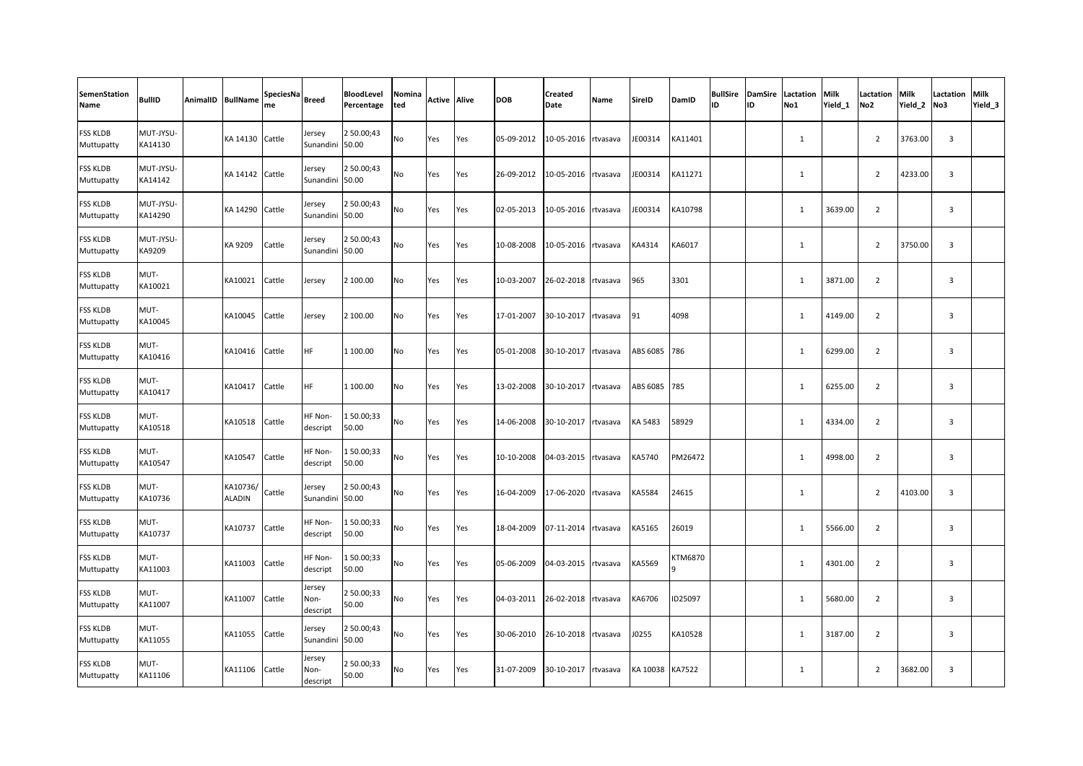| <b>SemenStation</b><br>Name   | <b>BullID</b>        | AnimalID BullName         | SpeciesNa<br>me | <b>Breed</b>               | BloodLevel<br>Percentage | Nomina<br>ted | <b>Active Alive</b> |     | <b>DOB</b> | <b>Created</b><br>Date | Name     | <b>SireID</b> | DamID         | ID | ID | <b>BullSire DamSire Lactation</b><br>No1 | Milk<br>Yield 1 | Lactation<br>No <sub>2</sub> | Milk<br>Yield_2 | Lactation<br>No3        | <b>Milk</b><br>Yield <sub>3</sub> |
|-------------------------------|----------------------|---------------------------|-----------------|----------------------------|--------------------------|---------------|---------------------|-----|------------|------------------------|----------|---------------|---------------|----|----|------------------------------------------|-----------------|------------------------------|-----------------|-------------------------|-----------------------------------|
| FSS KLDB<br>Muttupatty        | MUT-JYSU-<br>KA14130 | KA 14130                  | Cattle          | Jersey<br>Sunandini        | 2 50.00;43<br>50.00      | No            | Yes                 | Yes | 05-09-2012 | 10-05-2016 rtvasava    |          | JE00314       | KA11401       |    |    | $\mathbf{1}$                             |                 | $\overline{2}$               | 3763.00         | $\overline{3}$          |                                   |
| <b>FSS KLDB</b><br>Muttupatty | MUT-JYSU-<br>KA14142 | KA 14142                  | Cattle          | Jersey<br>Sunandini        | 2 50.00;43<br>50.00      | No            | Yes                 | Yes | 26-09-2012 | 10-05-2016 rtvasava    |          | JE00314       | KA11271       |    |    | $\mathbf{1}$                             |                 | $\overline{2}$               | 4233.00         | $\overline{3}$          |                                   |
| FSS KLDB<br>Muttupatty        | MUT-JYSU-<br>KA14290 | KA 14290                  | Cattle          | Jersey<br>Sunandini        | 2 50.00;43<br>50.00      | No            | Yes                 | Yes | 02-05-2013 | 10-05-2016 rtvasava    |          | JE00314       | KA10798       |    |    | $\mathbf{1}$                             | 3639.00         | $\overline{2}$               |                 | $\overline{\mathbf{3}}$ |                                   |
| FSS KLDB<br>Muttupatty        | MUT-JYSU-<br>KA9209  | KA 9209                   | Cattle          | Jersey<br>Sunandini        | 2 50.00;43<br>50.00      | No            | Yes                 | Yes | 10-08-2008 | 10-05-2016 rtvasava    |          | KA4314        | KA6017        |    |    | 1                                        |                 | $\overline{2}$               | 3750.00         | $\overline{3}$          |                                   |
| FSS KLDB<br>Muttupatty        | MUT-<br>KA10021      | KA10021                   | Cattle          | Jersey                     | 2 100.00                 | No            | Yes                 | Yes | 10-03-2007 | 26-02-2018 rtvasava    |          | 965           | 3301          |    |    | 1                                        | 3871.00         | $\overline{2}$               |                 | $\overline{3}$          |                                   |
| FSS KLDB<br>Muttupatty        | MUT-<br>KA10045      | KA10045                   | Cattle          | Jersey                     | 2 100.00                 | No            | Yes                 | Yes | 17-01-2007 | 30-10-2017             | rtvasava | 91            | 4098          |    |    | $\mathbf{1}$                             | 4149.00         | $\overline{2}$               |                 | $\overline{3}$          |                                   |
| FSS KLDB<br>Muttupatty        | MUT-<br>KA10416      | KA10416                   | Cattle          | <b>HF</b>                  | 1 100.00                 | No            | Yes                 | Yes | 05-01-2008 | 30-10-2017             | rtvasava | ABS 6085      | 786           |    |    | 1                                        | 6299.00         | $\overline{2}$               |                 | $\overline{\mathbf{3}}$ |                                   |
| <b>FSS KLDB</b><br>Muttupatty | MUT-<br>KA10417      | KA10417                   | Cattle          | <b>HF</b>                  | 1 100.00                 | No            | Yes                 | Yes | 13-02-2008 | 30-10-2017             | rtvasava | ABS 6085      | 785           |    |    | 1                                        | 6255.00         | $\overline{2}$               |                 | $\overline{3}$          |                                   |
| <b>FSS KLDB</b><br>Muttupatty | MUT-<br>KA10518      | KA10518                   | Cattle          | HF Non-<br>descript        | 150.00;33<br>50.00       | No            | Yes                 | Yes | 14-06-2008 | 30-10-2017             | rtvasava | KA 5483       | 58929         |    |    | 1                                        | 4334.00         | $\overline{2}$               |                 | $\overline{3}$          |                                   |
| FSS KLDB<br>Muttupatty        | MUT-<br>KA10547      | KA10547                   | Cattle          | HF Non-<br>descript        | 150.00;33<br>50.00       | No            | Yes                 | Yes | 10-10-2008 | 04-03-2015             | rtvasava | KA5740        | PM26472       |    |    | $\mathbf{1}$                             | 4998.00         | $\overline{2}$               |                 | $\overline{3}$          |                                   |
| FSS KLDB<br>Muttupatty        | MUT-<br>KA10736      | KA10736/<br><b>ALADIN</b> | Cattle          | Jersey<br>Sunandini        | 2 50.00;43<br>50.00      | No            | Yes                 | Yes | 16-04-2009 | 17-06-2020 rtvasava    |          | KA5584        | 24615         |    |    | $\mathbf{1}$                             |                 | $\overline{2}$               | 4103.00         | $\overline{3}$          |                                   |
| <b>FSS KLDB</b><br>Muttupatty | MUT-<br>KA10737      | KA10737                   | Cattle          | HF Non-<br>descript        | 150.00;33<br>50.00       | No            | Yes                 | Yes | 18-04-2009 | 07-11-2014 rtvasava    |          | KA5165        | 26019         |    |    | $\mathbf{1}$                             | 5566.00         | $\overline{2}$               |                 | $\overline{3}$          |                                   |
| <b>FSS KLDB</b><br>Muttupatty | MUT-<br>KA11003      | KA11003                   | Cattle          | HF Non-<br>descript        | 150.00;33<br>50.00       | No            | Yes                 | Yes | 05-06-2009 | 04-03-2015 rtvasava    |          | KA5569        | KTM6870       |    |    | $\mathbf{1}$                             | 4301.00         | $\overline{2}$               |                 | $\overline{3}$          |                                   |
| FSS KLDB<br>Muttupatty        | MUT-<br>KA11007      | KA11007                   | Cattle          | Jersey<br>Non-<br>descript | 2 50.00;33<br>50.00      | No            | Yes                 | Yes | 04-03-2011 | 26-02-2018             | rtvasava | KA6706        | ID25097       |    |    | $\mathbf{1}$                             | 5680.00         | $\overline{2}$               |                 | $\overline{3}$          |                                   |
| <b>FSS KLDB</b><br>Muttupatty | MUT-<br>KA11055      | KA11055                   | Cattle          | Jersey<br>Sunandini        | 2 50.00;43<br>50.00      | No            | Yes                 | Yes | 30-06-2010 | 26-10-2018 rtvasava    |          | J0255         | KA10528       |    |    | $\mathbf{1}$                             | 3187.00         | $\overline{2}$               |                 | $\overline{3}$          |                                   |
| FSS KLDB<br>Muttupatty        | MUT-<br>KA11106      | KA11106                   | Cattle          | Jersey<br>Non-<br>descript | 2 50.00;33<br>50.00      | No            | Yes                 | Yes | 31-07-2009 | 30-10-2017 rtvasava    |          | KA 10038      | <b>KA7522</b> |    |    | 1                                        |                 | $\overline{2}$               | 3682.00         | $\overline{3}$          |                                   |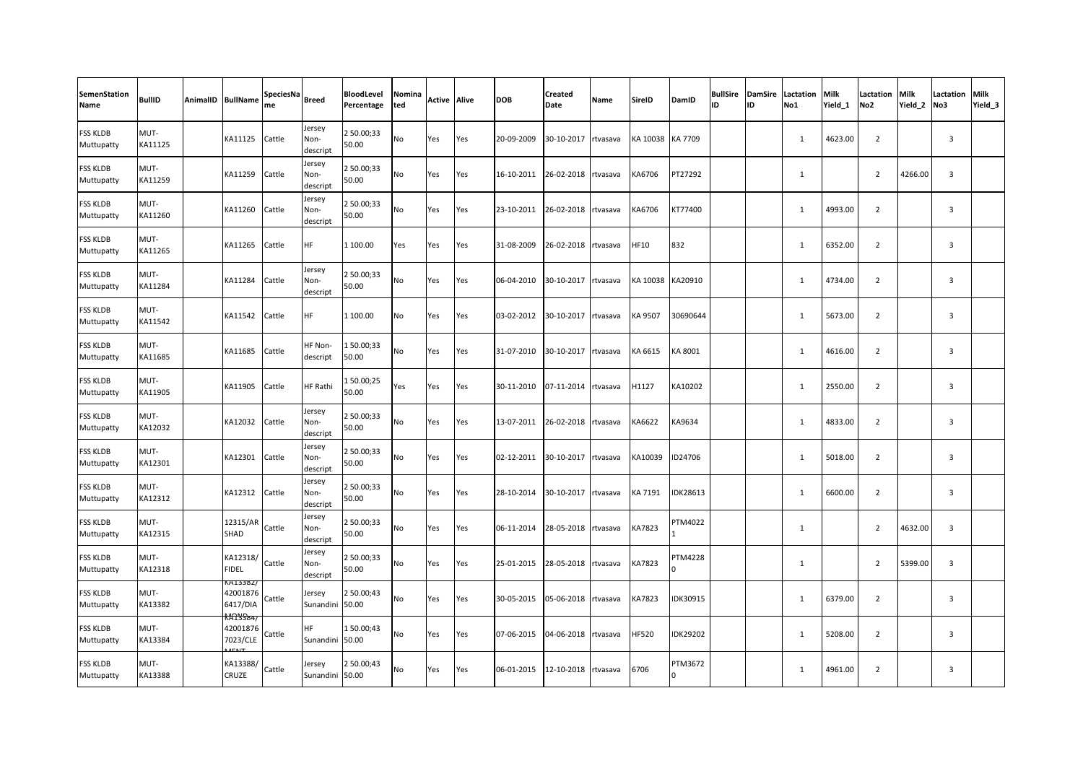| <b>SemenStation</b><br>Name   | <b>BullID</b>   | AnimalID BullName                                | SpeciesNa<br>me | <b>Breed</b>               | BloodLevel<br>Percentage | Nomina<br>ted | <b>Active Alive</b> |     | <b>DOB</b> | Created<br>Date     | Name     | <b>SireID</b> | DamID                   | ID | ID | <b>BullSire DamSire Lactation</b><br>No1 | Milk<br>Yield 1 | Lactation<br>No <sub>2</sub> | <b>Milk</b><br>Yield 2 | Lactation<br>No3        | <b>Milk</b><br>Yield <sub>3</sub> |
|-------------------------------|-----------------|--------------------------------------------------|-----------------|----------------------------|--------------------------|---------------|---------------------|-----|------------|---------------------|----------|---------------|-------------------------|----|----|------------------------------------------|-----------------|------------------------------|------------------------|-------------------------|-----------------------------------|
| FSS KLDB<br>Muttupatty        | MUT-<br>KA11125 | KA11125                                          | Cattle          | Jersey<br>Non-<br>descript | 2 50.00;33<br>50.00      | No            | Yes                 | Yes | 20-09-2009 | 30-10-2017          | rtvasava | KA 10038      | KA 7709                 |    |    | $\mathbf{1}$                             | 4623.00         | $\overline{2}$               |                        | $\overline{3}$          |                                   |
| <b>FSS KLDB</b><br>Muttupatty | MUT-<br>KA11259 | KA11259                                          | Cattle          | Jersey<br>Non-<br>descript | 2 50.00;33<br>50.00      | No            | Yes                 | Yes | 16-10-2011 | 26-02-2018 rtvasava |          | KA6706        | PT27292                 |    |    | $\mathbf{1}$                             |                 | $\overline{2}$               | 4266.00                | $\overline{3}$          |                                   |
| <b>FSS KLDB</b><br>Muttupatty | MUT-<br>KA11260 | KA11260                                          | Cattle          | Jersey<br>Non-<br>descript | 2 50.00;33<br>50.00      | No            | Yes                 | Yes | 23-10-2011 | 26-02-2018          | rtvasava | KA6706        | KT77400                 |    |    | $\mathbf{1}$                             | 4993.00         | $\overline{2}$               |                        | 3                       |                                   |
| FSS KLDB<br>Muttupatty        | MUT-<br>KA11265 | KA11265                                          | Cattle          | <b>HF</b>                  | 1 100.00                 | Yes           | Yes                 | Yes | 31-08-2009 | 26-02-2018          | rtvasava | HF10          | 832                     |    |    | 1                                        | 6352.00         | $\overline{2}$               |                        | $\overline{3}$          |                                   |
| FSS KLDB<br>Muttupatty        | MUT-<br>KA11284 | KA11284                                          | Cattle          | Jersey<br>Non-<br>descript | 2 50.00;33<br>50.00      | No            | Yes                 | Yes | 06-04-2010 | 30-10-2017          | rtvasava | KA 10038      | KA20910                 |    |    | 1                                        | 4734.00         | $\overline{2}$               |                        | $\overline{3}$          |                                   |
| FSS KLDB<br>Muttupatty        | MUT-<br>KA11542 | KA11542                                          | Cattle          | <b>HF</b>                  | 1 100.00                 | No            | Yes                 | Yes | 03-02-2012 | 30-10-2017          | rtvasava | KA 9507       | 30690644                |    |    | $\mathbf{1}$                             | 5673.00         | $\overline{2}$               |                        | $\overline{3}$          |                                   |
| FSS KLDB<br>Muttupatty        | MUT-<br>KA11685 | KA11685                                          | Cattle          | HF Non-<br>descript        | 150.00;33<br>50.00       | No            | Yes                 | Yes | 31-07-2010 | 30-10-2017          | rtvasava | KA 6615       | KA 8001                 |    |    | 1                                        | 4616.00         | $\overline{2}$               |                        | $\overline{3}$          |                                   |
| <b>FSS KLDB</b><br>Muttupatty | MUT-<br>KA11905 | KA11905                                          | Cattle          | <b>HF Rathi</b>            | 150.00;25<br>50.00       | Yes           | Yes                 | Yes | 30-11-2010 | 07-11-2014 rtvasava |          | H1127         | KA10202                 |    |    | 1                                        | 2550.00         | $\overline{2}$               |                        | $\overline{3}$          |                                   |
| <b>FSS KLDB</b><br>Muttupatty | MUT-<br>KA12032 | KA12032                                          | Cattle          | Jersey<br>Non-<br>descript | 2 50.00;33<br>50.00      | No            | Yes                 | Yes | 13-07-2011 | 26-02-2018 rtvasava |          | KA6622        | KA9634                  |    |    | 1                                        | 4833.00         | $\overline{2}$               |                        | $\overline{\mathbf{3}}$ |                                   |
| FSS KLDB<br>Muttupatty        | MUT-<br>KA12301 | KA12301                                          | Cattle          | Jersey<br>Non-<br>descript | 2 50.00;33<br>50.00      | No            | Yes                 | Yes | 02-12-2011 | 30-10-2017          | rtvasava | KA10039       | ID24706                 |    |    | $\mathbf{1}$                             | 5018.00         | $\overline{2}$               |                        | $\overline{\mathbf{3}}$ |                                   |
| FSS KLDB<br>Muttupatty        | MUT-<br>KA12312 | KA12312                                          | Cattle          | Jersey<br>Non-<br>descript | 2 50.00;33<br>50.00      | No            | Yes                 | Yes | 28-10-2014 | 30-10-2017 rtvasava |          | KA 7191       | IDK28613                |    |    | $\mathbf{1}$                             | 6600.00         | $\overline{2}$               |                        | $\overline{3}$          |                                   |
| <b>FSS KLDB</b><br>Muttupatty | MUT-<br>KA12315 | 12315/AR<br>SHAD                                 | Cattle          | Jersey<br>Non-<br>descript | 2 50.00;33<br>50.00      | No            | Yes                 | Yes | 06-11-2014 | 28-05-2018 rtvasava |          | KA7823        | PTM4022                 |    |    | $\mathbf{1}$                             |                 | $\overline{2}$               | 4632.00                | $\overline{\mathbf{3}}$ |                                   |
| <b>FSS KLDB</b><br>Muttupatty | MUT-<br>KA12318 | KA12318/<br><b>FIDEL</b>                         | Cattle          | Jersey<br>Non-<br>descript | 2 50.00;33<br>50.00      | No            | Yes                 | Yes | 25-01-2015 | 28-05-2018 rtvasava |          | KA7823        | <b>PTM4228</b>          |    |    | $\mathbf{1}$                             |                 | $\overline{2}$               | 5399.00                | $\overline{\mathbf{3}}$ |                                   |
| FSS KLDB<br>Muttupatty        | MUT-<br>KA13382 | A1338Z/<br>42001876<br>6417/DIA<br><b>AA3584</b> | Cattle          | Jersey<br>Sunandini        | 2 50.00;43<br>50.00      | No            | Yes                 | Yes | 30-05-2015 | 05-06-2018 rtvasava |          | KA7823        | IDK30915                |    |    | $\mathbf{1}$                             | 6379.00         | $\overline{2}$               |                        | $\overline{\mathbf{3}}$ |                                   |
| <b>FSS KLDB</b><br>Muttupatty | MUT-<br>KA13384 | 42001876<br>7023/CLE<br>20.52                    | Cattle          | HF.<br>Sunandini           | 150.00;43<br>50.00       | No            | Yes                 | Yes | 07-06-2015 | 04-06-2018          | rtvasava | HF520         | <b>IDK29202</b>         |    |    | 1                                        | 5208.00         | $\overline{2}$               |                        | 3                       |                                   |
| FSS KLDB<br>Muttupatty        | MUT-<br>KA13388 | KA13388/<br><b>CRUZE</b>                         | Cattle          | Jersey<br>Sunandini        | 2 50.00;43<br>50.00      | No            | Yes                 | Yes | 06-01-2015 | 12-10-2018 rtvasava |          | 6706          | PTM3672<br><sup>0</sup> |    |    | 1                                        | 4961.00         | $\overline{2}$               |                        | $\overline{\mathbf{3}}$ |                                   |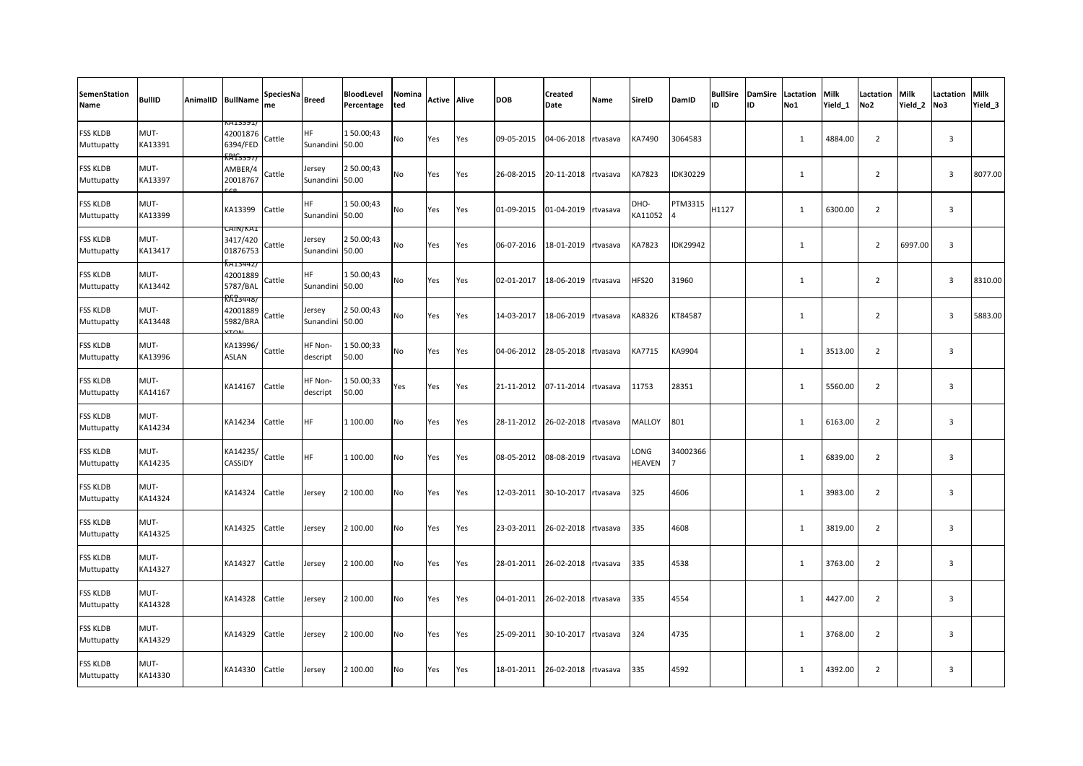| <b>SemenStation</b><br>Name   | <b>BullID</b>   | AnimalID BullName                                            | SpeciesNa<br>me | <b>Breed</b>                 | BloodLevel<br>Percentage | Nomina<br>ted | <b>Active Alive</b> |     | <b>DOB</b> | Created<br>Date | Name     | <b>SireID</b>   | DamID    | ID    | ID | <b>BullSire DamSire Lactation</b><br>No1 | <b>Milk</b><br>Yield 1 | Lactation<br>No <sub>2</sub> | <b>Milk</b><br>Yield 2 | <b>Lactation Milk</b><br>No3 | Yield_3 |
|-------------------------------|-----------------|--------------------------------------------------------------|-----------------|------------------------------|--------------------------|---------------|---------------------|-----|------------|-----------------|----------|-----------------|----------|-------|----|------------------------------------------|------------------------|------------------------------|------------------------|------------------------------|---------|
| FSS KLDB<br>Muttupatty        | MUT-<br>KA13391 | (A13391,<br>42001876<br>6394/FED<br><u>{gree}</u>            | Cattle          | <b>HF</b><br>Sunandini       | 150.00;43<br>50.00       | No            | Yes                 | Yes | 09-05-2015 | 04-06-2018      | rtvasava | KA7490          | 3064583  |       |    | 1                                        | 4884.00                | $\overline{2}$               |                        | $\overline{3}$               |         |
| <b>FSS KLDB</b><br>Muttupatty | MUT-<br>KA13397 | AMBER/4<br>20018767                                          | Cattle          | Jersey<br>Sunandini          | 2 50.00;43<br>50.00      | No            | Yes                 | Yes | 26-08-2015 | 20-11-2018      | rtvasava | KA7823          | IDK30229 |       |    | $\mathbf{1}$                             |                        | $\overline{2}$               |                        | $\overline{3}$               | 8077.00 |
| FSS KLDB<br>Muttupatty        | MUT-<br>KA13399 | KA13399                                                      | Cattle          | HF<br>Sunandini              | 150.00;43<br>50.00       | No            | Yes                 | Yes | 01-09-2015 | 01-04-2019      | rtvasava | DHO-<br>KA11052 | PTM3315  | H1127 |    | $\mathbf{1}$                             | 6300.00                | $\overline{2}$               |                        | $\overline{3}$               |         |
| FSS KLDB<br>Muttupatty        | MUT-<br>KA13417 | CAIN/KAI<br>3417/420<br>01876753                             | Cattle          | Jersey<br>Sunandini          | 2 50.00;43<br>50.00      | No            | Yes                 | Yes | 06-07-2016 | 18-01-2019      | rtvasava | KA7823          | DK29942  |       |    | 1                                        |                        | $\overline{2}$               | 6997.00                | $\overline{3}$               |         |
| FSS KLDB<br>Muttupatty        | MUT-<br>KA13442 | A1344Z/<br>42001889<br>5787/BAL                              | Cattle          | <b>HF</b><br>Sunandini 50.00 | 150.00;43                | No            | Yes                 | Yes | 02-01-2017 | 18-06-2019      | rtvasava | HFS20           | 31960    |       |    | $\mathbf{1}$                             |                        | $\overline{2}$               |                        | $\overline{\mathbf{3}}$      | 8310.00 |
| FSS KLDB<br>Muttupatty        | MUT-<br>KA13448 | R <del>AT3448</del><br>42001889<br>5982/BRA<br>$T_{\Lambda}$ | Cattle          | Jersey<br>Sunandini 50.00    | 2 50.00;43               | <b>No</b>     | Yes                 | Yes | 14-03-2017 | 18-06-2019      | rtvasava | KA8326          | KT84587  |       |    | 1                                        |                        | $\overline{2}$               |                        | $\overline{3}$               | 5883.00 |
| FSS KLDB<br>Muttupatty        | MUT-<br>KA13996 | KA13996/<br><b>ASLAN</b>                                     | Cattle          | HF Non-<br>descript          | 150.00;33<br>50.00       | No            | Yes                 | Yes | 04-06-2012 | 28-05-2018      | rtvasava | KA7715          | KA9904   |       |    | 1                                        | 3513.00                | $\overline{2}$               |                        | $\overline{3}$               |         |
| <b>FSS KLDB</b><br>Muttupatty | MUT-<br>KA14167 | KA14167                                                      | Cattle          | HF Non-<br>descript          | 150.00;33<br>50.00       | Yes           | Yes                 | Yes | 21-11-2012 | 07-11-2014      | rtvasava | 11753           | 28351    |       |    | 1                                        | 5560.00                | $\overline{2}$               |                        | $\overline{3}$               |         |
| <b>FSS KLDB</b><br>Muttupatty | MUT-<br>KA14234 | KA14234                                                      | Cattle          | <b>HF</b>                    | 1 100.00                 | No            | Yes                 | Yes | 28-11-2012 | 26-02-2018      | rtvasava | MALLOY          | 801      |       |    | 1                                        | 6163.00                | $\overline{2}$               |                        | 3                            |         |
| FSS KLDB<br>Muttupatty        | MUT-<br>KA14235 | KA14235/<br><b>CASSIDY</b>                                   | Cattle          | <b>HF</b>                    | 1 100.00                 | No            | Yes                 | Yes | 08-05-2012 | 08-08-2019      | rtvasava | LONG<br>HEAVEN  | 34002366 |       |    | $\mathbf{1}$                             | 6839.00                | $\overline{2}$               |                        | $\overline{3}$               |         |
| FSS KLDB<br>Muttupatty        | MUT-<br>KA14324 | KA14324                                                      | Cattle          | Jersey                       | 2 100.00                 | No            | Yes                 | Yes | 12-03-2011 | 30-10-2017      | rtvasava | 325             | 4606     |       |    | $\mathbf{1}$                             | 3983.00                | $\overline{2}$               |                        | $\overline{3}$               |         |
| <b>FSS KLDB</b><br>Muttupatty | MUT-<br>KA14325 | KA14325                                                      | Cattle          | Jersey                       | 2 100.00                 | No            | Yes                 | Yes | 23-03-2011 | 26-02-2018      | rtvasava | 335             | 4608     |       |    | $\mathbf{1}$                             | 3819.00                | $\overline{2}$               |                        | 3                            |         |
| FSS KLDB<br>Muttupatty        | MUT-<br>KA14327 | KA14327                                                      | Cattle          | Jersey                       | 2 100.00                 | No            | Yes                 | Yes | 28-01-2011 | 26-02-2018      | rtvasava | 335             | 4538     |       |    | $\mathbf{1}$                             | 3763.00                | $\overline{2}$               |                        | $\overline{3}$               |         |
| FSS KLDB<br>Muttupatty        | MUT-<br>KA14328 | KA14328                                                      | Cattle          | Jersey                       | 2 100.00                 | No            | Yes                 | Yes | 04-01-2011 | 26-02-2018      | rtvasava | 335             | 4554     |       |    | $\mathbf{1}$                             | 4427.00                | $\overline{2}$               |                        | $\overline{3}$               |         |
| <b>FSS KLDB</b><br>Muttupatty | MUT-<br>KA14329 | KA14329                                                      | Cattle          | Jersey                       | 2 100.00                 | No            | Yes                 | Yes | 25-09-2011 | 30-10-2017      | rtvasava | 324             | 4735     |       |    | 1                                        | 3768.00                | $\overline{2}$               |                        | 3                            |         |
| FSS KLDB<br>Muttupatty        | MUT-<br>KA14330 | KA14330                                                      | Cattle          | Jersey                       | 2 100.00                 | No            | Yes                 | Yes | 18-01-2011 | 26-02-2018      | rtvasava | 335             | 4592     |       |    | 1                                        | 4392.00                | $\overline{2}$               |                        | $\overline{3}$               |         |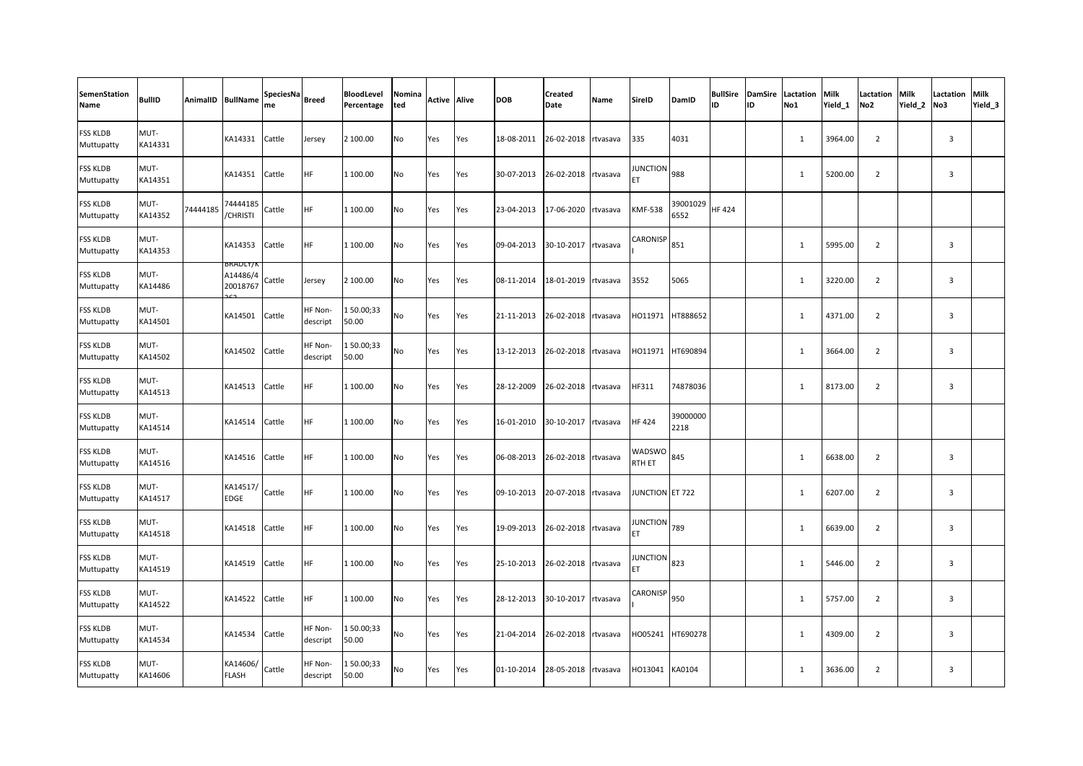| <b>SemenStation</b><br>Name   | <b>BullID</b>   |          | AnimalID BullName                | SpeciesNa<br>Breed<br>me |                     | BloodLevel<br>Percentage | Nomina<br>ted | <b>Active Alive</b> |     | <b>DOB</b> | <b>Created</b><br>Date | Name | SireID              | DamID            | ID           | ID | <b>BullSire DamSire Lactation</b><br>No1 | Milk<br>Yield 1 | Lactation<br>No <sub>2</sub> | Milk<br>Yield 2 | <b>Lactation Milk</b><br>No3 | Yield <sub>3</sub> |
|-------------------------------|-----------------|----------|----------------------------------|--------------------------|---------------------|--------------------------|---------------|---------------------|-----|------------|------------------------|------|---------------------|------------------|--------------|----|------------------------------------------|-----------------|------------------------------|-----------------|------------------------------|--------------------|
| <b>FSS KLDB</b><br>Muttupatty | MUT-<br>KA14331 |          | KA14331                          | Cattle                   | Jersey              | 2 100.00                 | No            | Yes                 | Yes | 18-08-2011 | 26-02-2018 rtvasava    |      | 335                 | 4031             |              |    | $\mathbf{1}$                             | 3964.00         | $\overline{2}$               |                 | $\overline{\mathbf{3}}$      |                    |
| <b>FSS KLDB</b><br>Muttupatty | MUT-<br>KA14351 |          | KA14351                          | Cattle                   | HF                  | 1 100.00                 | No            | Yes                 | Yes | 30-07-2013 | 26-02-2018 rtvasava    |      | <b>JUNCTION</b>     | 988              |              |    | 1                                        | 5200.00         | $\overline{2}$               |                 | $\overline{3}$               |                    |
| FSS KLDB<br>Muttupatty        | MUT-<br>KA14352 | 74444185 | 74444185<br><b>CHRISTI</b>       | Cattle                   | <b>HF</b>           | 1 100.00                 | No            | Yes                 | Yes | 23-04-2013 | 17-06-2020 rtvasava    |      | KMF-538             | 39001029<br>6552 | <b>HF424</b> |    |                                          |                 |                              |                 |                              |                    |
| FSS KLDB<br>Muttupatty        | MUT-<br>KA14353 |          | KA14353                          | Cattle                   | <b>HF</b>           | 1 100.00                 | No            | Yes                 | Yes | 09-04-2013 | 30-10-2017 rtvasava    |      | CARONISP            | 851              |              |    | $\mathbf{1}$                             | 5995.00         | $\overline{2}$               |                 | $\overline{3}$               |                    |
| FSS KLDB<br>Muttupatty        | MUT-<br>KA14486 |          | 3RADLY/N<br>A14486/4<br>20018767 | Cattle                   | Jersey              | 2 100.00                 | No            | Yes                 | Yes | 08-11-2014 | 18-01-2019 rtvasava    |      | 3552                | 5065             |              |    | $\mathbf{1}$                             | 3220.00         | $\overline{2}$               |                 | $\overline{3}$               |                    |
| FSS KLDB<br>Muttupatty        | MUT-<br>KA14501 |          | KA14501                          | Cattle                   | HF Non-<br>descript | 150.00;33<br>50.00       | No            | Yes                 | Yes | 21-11-2013 | 26-02-2018 rtvasava    |      | HO11971             | HT888652         |              |    | $\mathbf{1}$                             | 4371.00         | $\overline{2}$               |                 | $\overline{3}$               |                    |
| <b>FSS KLDB</b><br>Muttupatty | MUT-<br>KA14502 |          | KA14502                          | Cattle                   | HF Non-<br>descript | 150.00;33<br>50.00       | No            | Yes                 | Yes | 13-12-2013 | 26-02-2018 rtvasava    |      | HO11971             | HT690894         |              |    | $\mathbf{1}$                             | 3664.00         | $\overline{2}$               |                 | $\overline{3}$               |                    |
| <b>FSS KLDB</b><br>Muttupatty | MUT-<br>KA14513 |          | KA14513                          | Cattle                   | <b>HF</b>           | 1 100.00                 | No            | Yes                 | Yes | 28-12-2009 | 26-02-2018 rtvasava    |      | HF311               | 74878036         |              |    | 1                                        | 8173.00         | $\overline{2}$               |                 | $\overline{3}$               |                    |
| <b>FSS KLDB</b><br>Muttupatty | MUT-<br>KA14514 |          | KA14514                          | Cattle                   | <b>HF</b>           | 1 100.00                 | No            | Yes                 | Yes | 16-01-2010 | 30-10-2017 rtvasava    |      | HF 424              | 39000000<br>2218 |              |    |                                          |                 |                              |                 |                              |                    |
| FSS KLDB<br>Muttupatty        | MUT-<br>KA14516 |          | KA14516                          | Cattle                   | <b>HF</b>           | 1 100.00                 | No            | Yes                 | Yes | 06-08-2013 | 26-02-2018 rtvasava    |      | WADSWO<br>RTH ET    | 845              |              |    | $\mathbf{1}$                             | 6638.00         | $\overline{2}$               |                 | $\overline{3}$               |                    |
| FSS KLDB<br>Muttupatty        | MUT-<br>KA14517 |          | KA14517/<br><b>EDGE</b>          | Cattle                   | <b>HF</b>           | 1 100.00                 | No            | Yes                 | Yes | 09-10-2013 | 20-07-2018 rtvasava    |      | JUNCTION ET 722     |                  |              |    | $\mathbf{1}$                             | 6207.00         | $\overline{2}$               |                 | $\overline{3}$               |                    |
| <b>FSS KLDB</b><br>Muttupatty | MUT-<br>KA14518 |          | KA14518                          | Cattle                   | HF                  | 1 100.00                 | No            | Yes                 | Yes | 19-09-2013 | 26-02-2018 rtvasava    |      | JUNCTION 789<br>ET. |                  |              |    | $\mathbf{1}$                             | 6639.00         | $\overline{2}$               |                 | $\overline{\mathbf{3}}$      |                    |
| FSS KLDB<br>Muttupatty        | MUT-<br>KA14519 |          | KA14519                          | Cattle                   | <b>HF</b>           | 1 100.00                 | No            | Yes                 | Yes | 25-10-2013 | 26-02-2018 rtvasava    |      | <b>JUNCTION</b>     | 823              |              |    | 1                                        | 5446.00         | $\overline{2}$               |                 | $\overline{3}$               |                    |
| <b>FSS KLDB</b><br>Muttupatty | MUT-<br>KA14522 |          | KA14522                          | Cattle                   | <b>HF</b>           | 1 100.00                 | No            | Yes                 | Yes | 28-12-2013 | 30-10-2017 rtvasava    |      | CARONISP            | 950              |              |    | $\mathbf{1}$                             | 5757.00         | $\overline{2}$               |                 | $\overline{3}$               |                    |
| <b>FSS KLDB</b><br>Muttupatty | MUT-<br>KA14534 |          | KA14534                          | Cattle                   | HF Non-<br>descript | 150.00;33<br>50.00       | No            | Yes                 | Yes | 21-04-2014 | 26-02-2018 rtvasava    |      | HO05241             | HT690278         |              |    | $\mathbf{1}$                             | 4309.00         | $\overline{2}$               |                 | $\overline{3}$               |                    |
| FSS KLDB<br>Muttupatty        | MUT-<br>KA14606 |          | KA14606/<br><b>FLASH</b>         | Cattle                   | HF Non-<br>descript | 150.00;33<br>50.00       | No            | Yes                 | Yes | 01-10-2014 | 28-05-2018 rtvasava    |      | HO13041             | KA0104           |              |    | $\mathbf{1}$                             | 3636.00         | $\overline{2}$               |                 | $\overline{3}$               |                    |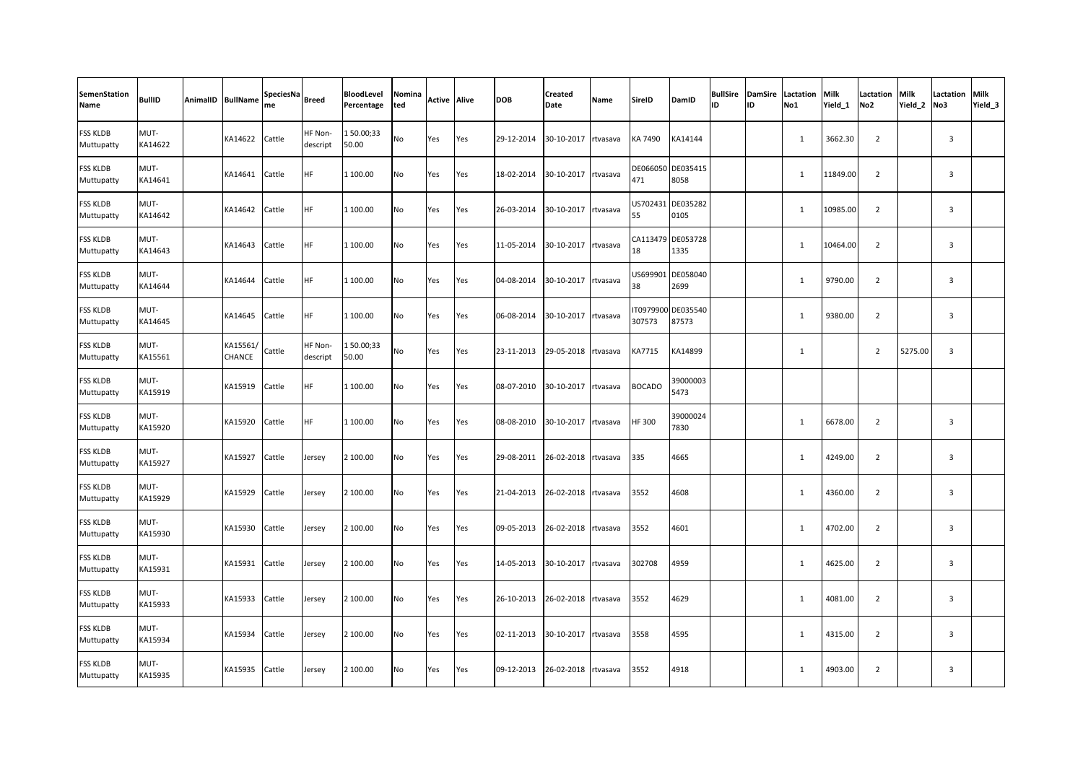| <b>SemenStation</b><br>Name   | <b>BullID</b>   | AnimalID BullName         | SpeciesNa<br>me | <b>Breed</b>        | BloodLevel<br>Percentage | Nomina<br>ted | <b>Active Alive</b> |     | <b>DOB</b> | <b>Created</b><br>Date | Name     | SireID             | DamID                     | ID. | ID | <b>BullSire DamSire Lactation</b><br>No1 | Milk<br>Yield 1 | Lactation<br>No <sub>2</sub> | Milk<br>Yield 2 | <b>Lactation Milk</b><br>No3 | Yield <sub>3</sub> |
|-------------------------------|-----------------|---------------------------|-----------------|---------------------|--------------------------|---------------|---------------------|-----|------------|------------------------|----------|--------------------|---------------------------|-----|----|------------------------------------------|-----------------|------------------------------|-----------------|------------------------------|--------------------|
| FSS KLDB<br>Muttupatty        | MUT-<br>KA14622 | KA14622                   | Cattle          | HF Non-<br>descript | 150.00;33<br>50.00       | No            | Yes                 | Yes | 29-12-2014 | 30-10-2017             | rtvasava | KA 7490            | KA14144                   |     |    | $\mathbf{1}$                             | 3662.30         | $\overline{2}$               |                 | $\overline{\mathbf{3}}$      |                    |
| <b>FSS KLDB</b><br>Muttupatty | MUT-<br>KA14641 | KA14641                   | Cattle          | <b>HF</b>           | 1 100.00                 | No            | Yes                 | Yes | 18-02-2014 | 30-10-2017 rtvasava    |          | 471                | DE066050 DE035415<br>8058 |     |    | 1                                        | 11849.00        | $\overline{2}$               |                 | $\overline{3}$               |                    |
| FSS KLDB<br>Muttupatty        | MUT-<br>KA14642 | KA14642                   | Cattle          | <b>HF</b>           | 1 100.00                 | No            | Yes                 | Yes | 26-03-2014 | 30-10-2017 rtvasava    |          | US702431<br>55     | DE035282<br>0105          |     |    | $\mathbf{1}$                             | 10985.00        | $\overline{2}$               |                 | $\overline{3}$               |                    |
| FSS KLDB<br>Muttupatty        | MUT-<br>KA14643 | KA14643                   | Cattle          | <b>HF</b>           | 1 100.00                 | No            | Yes                 | Yes | 11-05-2014 | 30-10-2017             | rtvasava | 18                 | CA113479 DE053728<br>1335 |     |    | $\mathbf{1}$                             | 10464.00        | $\overline{2}$               |                 | $\overline{3}$               |                    |
| <b>FSS KLDB</b><br>Muttupatty | MUT-<br>KA14644 | KA14644                   | Cattle          | <b>HF</b>           | 1 100.00                 | No            | Yes                 | Yes | 04-08-2014 | 30-10-2017 rtvasava    |          | US699901<br>38     | DE058040<br>2699          |     |    | $\mathbf{1}$                             | 9790.00         | $\overline{2}$               |                 | $\overline{3}$               |                    |
| FSS KLDB<br>Muttupatty        | MUT-<br>KA14645 | KA14645                   | Cattle          | HF                  | 1 100.00                 | No            | Yes                 | Yes | 06-08-2014 | 30-10-2017 rtvasava    |          | T0979900<br>307573 | DE035540<br>87573         |     |    | $\mathbf{1}$                             | 9380.00         | $\overline{2}$               |                 | $\overline{3}$               |                    |
| <b>FSS KLDB</b><br>Muttupatty | MUT-<br>KA15561 | KA15561/<br><b>CHANCE</b> | Cattle          | HF Non-<br>descript | 150.00;33<br>50.00       | No            | Yes                 | Yes | 23-11-2013 | 29-05-2018 rtvasava    |          | KA7715             | KA14899                   |     |    | $\mathbf{1}$                             |                 | $\overline{2}$               | 5275.00         | $\overline{\mathbf{3}}$      |                    |
| <b>FSS KLDB</b><br>Muttupatty | MUT-<br>KA15919 | KA15919                   | Cattle          | <b>HF</b>           | 1 100.00                 | No            | Yes                 | Yes | 08-07-2010 | 30-10-2017             | rtvasava | <b>BOCADO</b>      | 39000003<br>5473          |     |    |                                          |                 |                              |                 |                              |                    |
| <b>FSS KLDB</b><br>Muttupatty | MUT-<br>KA15920 | KA15920                   | Cattle          | <b>HF</b>           | 1 100.00                 | No            | Yes                 | Yes | 08-08-2010 | 30-10-2017             | rtvasava | HF 300             | 39000024<br>7830          |     |    | 1                                        | 6678.00         | $\overline{2}$               |                 | $\overline{3}$               |                    |
| FSS KLDB<br>Muttupatty        | MUT-<br>KA15927 | KA15927                   | Cattle          | Jersey              | 2 100.00                 | No            | Yes                 | Yes | 29-08-2011 | 26-02-2018 rtvasava    |          | 335                | 4665                      |     |    | $\mathbf{1}$                             | 4249.00         | $\overline{2}$               |                 | $\overline{3}$               |                    |
| FSS KLDB<br>Muttupatty        | MUT-<br>KA15929 | KA15929                   | Cattle          | Jersey              | 2 100.00                 | No            | Yes                 | Yes | 21-04-2013 | 26-02-2018 rtvasava    |          | 3552               | 4608                      |     |    | $\mathbf{1}$                             | 4360.00         | $\overline{2}$               |                 | $\overline{3}$               |                    |
| <b>FSS KLDB</b><br>Muttupatty | MUT-<br>KA15930 | KA15930                   | Cattle          | Jersey              | 2 100.00                 | No            | Yes                 | Yes | 09-05-2013 | 26-02-2018 rtvasava    |          | 3552               | 4601                      |     |    | $\mathbf{1}$                             | 4702.00         | $\overline{2}$               |                 | $\overline{\mathbf{3}}$      |                    |
| FSS KLDB<br>Muttupatty        | MUT-<br>KA15931 | KA15931                   | Cattle          | Jersey              | 2 100.00                 | No            | Yes                 | Yes | 14-05-2013 | 30-10-2017             | rtvasava | 302708             | 4959                      |     |    | 1                                        | 4625.00         | $\overline{2}$               |                 | $\overline{3}$               |                    |
| <b>FSS KLDB</b><br>Muttupatty | MUT-<br>KA15933 | KA15933                   | Cattle          | Jersey              | 2 100.00                 | No            | Yes                 | Yes | 26-10-2013 | 26-02-2018             | rtvasava | 3552               | 4629                      |     |    | 1                                        | 4081.00         | $\overline{2}$               |                 | $\overline{3}$               |                    |
| <b>FSS KLDB</b><br>Muttupatty | MUT-<br>KA15934 | KA15934                   | Cattle          | Jersey              | 2 100.00                 | No            | Yes                 | Yes | 02-11-2013 | 30-10-2017 rtvasava    |          | 3558               | 4595                      |     |    | $\mathbf{1}$                             | 4315.00         | $\overline{2}$               |                 | $\overline{3}$               |                    |
| FSS KLDB<br>Muttupatty        | MUT-<br>KA15935 | KA15935                   | Cattle          | Jersey              | 2 100.00                 | No            | Yes                 | Yes | 09-12-2013 | 26-02-2018 rtvasava    |          | 3552               | 4918                      |     |    | $\mathbf{1}$                             | 4903.00         | $\overline{2}$               |                 | $\overline{3}$               |                    |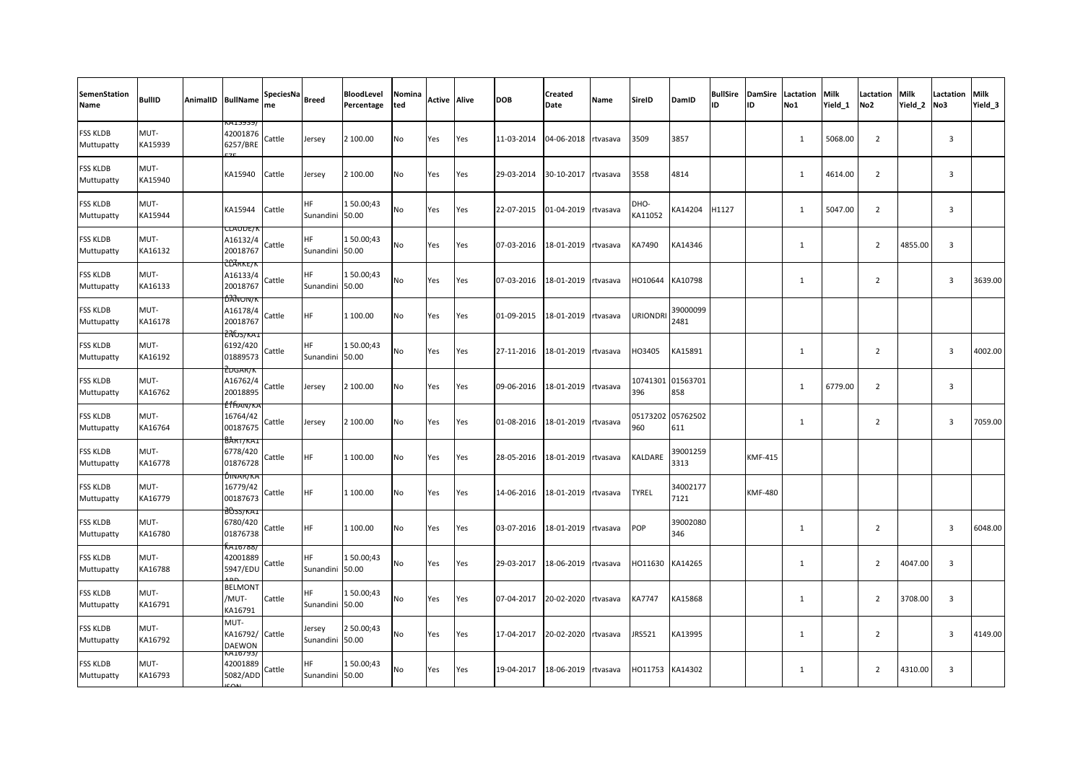| SemenStation<br>Name          | <b>BullID</b>   | AnimalID BullName                              | SpeciesNa<br>me | <b>Breed</b>                 | <b>BloodLevel</b><br>Percentage | Nomina<br>ted | <b>Active Alive</b> |     | DOB        | <b>Created</b><br>Date | Name     | SireID          | DamID                    | <b>BullSire</b><br>ID | <b>DamSire</b><br>ID | Lactation<br>No1 | Milk<br>Yield 1 | Lactation<br>No <sub>2</sub> | <b>Milk</b><br>Yield 2 | Lactation<br>No3        | Milk<br>Yield 3 |
|-------------------------------|-----------------|------------------------------------------------|-----------------|------------------------------|---------------------------------|---------------|---------------------|-----|------------|------------------------|----------|-----------------|--------------------------|-----------------------|----------------------|------------------|-----------------|------------------------------|------------------------|-------------------------|-----------------|
| <b>FSS KLDB</b><br>Muttupatty | MUT-<br>KA15939 | KA15939/<br>42001876<br>6257/BRE               | Cattle          | lersey                       | 2 100.00                        | No            | Yes                 | Yes | 11-03-2014 | 04-06-2018             | rtvasava | 3509            | 3857                     |                       |                      | 1                | 5068.00         | $\overline{2}$               |                        | $\overline{\mathbf{3}}$ |                 |
| <b>FSS KLDB</b><br>Muttupatty | MUT-<br>KA15940 | KA15940                                        | Cattle          | lersey                       | 2 100.00                        | No            | Yes                 | Yes | 29-03-2014 | 30-10-2017             | rtvasava | 3558            | 4814                     |                       |                      | 1                | 4614.00         | $\overline{2}$               |                        | $\overline{\mathbf{3}}$ |                 |
| <b>FSS KLDB</b><br>Muttupatty | MUT-<br>KA15944 | KA15944                                        | Cattle          | HF.<br>Sunandini 50.00       | 150.00;43                       | No            | Yes                 | Yes | 22-07-2015 | 01-04-2019 rtvasava    |          | DHO-<br>KA11052 | KA14204                  | H1127                 |                      | 1                | 5047.00         | $\overline{2}$               |                        | $\overline{\mathbf{3}}$ |                 |
| <b>FSS KLDB</b><br>Muttupatty | MUT-<br>KA16132 | JLAUDE/<br>A16132/4<br>20018767                | Cattle          | HF.<br>Sunandini 50.00       | 150.00;43                       | No            | Yes                 | Yes | 07-03-2016 | 18-01-2019             | rtvasava | KA7490          | KA14346                  |                       |                      | 1                |                 | $\overline{2}$               | 4855.00                | $\overline{\mathbf{3}}$ |                 |
| <b>FSS KLDB</b><br>Muttupatty | MUT-<br>KA16133 | 207 RKE/K<br>A16133/4<br>20018767              | Cattle          | НF<br>Sunandini 50.00        | 150.00;43                       | No            | Yes                 | Yes | 07-03-2016 | 18-01-2019             | rtvasava | HO10644         | KA10798                  |                       |                      | 1                |                 | $\overline{2}$               |                        | $\overline{\mathbf{3}}$ | 3639.00         |
| <b>FSS KLDB</b><br>Muttupatty | MUT-<br>KA16178 | <b><i>DANON/K</i></b><br>A16178/4<br>20018767  | Cattle          | HF.                          | 1 100.00                        | No            | Yes                 | Yes | 01-09-2015 | 18-01-2019             | rtvasava | <b>URIONDRI</b> | 39000099<br>2481         |                       |                      |                  |                 |                              |                        |                         |                 |
| <b>FSS KLDB</b><br>Muttupatty | MUT-<br>KA16192 | 22657 KA.<br>6192/420<br>01889573              | Cattle          | <b>HF</b><br>Sunandini 50.00 | 150.00;43                       | No            | Yes                 | Yes | 27-11-2016 | 18-01-2019             | rtvasava | HO3405          | KA15891                  |                       |                      | 1                |                 | $\overline{2}$               |                        | $\overline{\mathbf{3}}$ | 4002.00         |
| <b>FSS KLDB</b><br>Muttupatty | MUT-<br>KA16762 | EDGAR/K<br>A16762/4<br>20018895                | Cattle          | Jersey                       | 2 100.00                        | No            | Yes                 | Yes | 09-06-2016 | 18-01-2019 rtvasava    |          | 396             | 10741301 01563701<br>858 |                       |                      | 1                | 6779.00         | $\overline{2}$               |                        | $\overline{\mathbf{3}}$ |                 |
| <b>FSS KLDB</b><br>Muttupatty | MUT-<br>KA16764 | <del>e f fianv/k</del><br>16764/42<br>00187675 | Cattle          | Jersey                       | 2 100.00                        | No            | Yes                 | Yes | 01-08-2016 | 18-01-2019             | rtvasava | 05173202<br>960 | 05762502<br>611          |                       |                      | 1                |                 | $\overline{2}$               |                        | $\overline{\mathbf{3}}$ | 7059.00         |
| <b>FSS KLDB</b><br>Muttupatty | MUT-<br>KA16778 | <u>вактука.</u><br>6778/420<br>01876728        | Cattle          | HF.                          | 1 100.00                        | No            | Yes                 | Yes | 28-05-2016 | 18-01-2019             | rtvasava | KALDARE         | 39001259<br>3313         |                       | <b>KMF-415</b>       |                  |                 |                              |                        |                         |                 |
| <b>FSS KLDB</b><br>Muttupatty | MUT-<br>KA16779 | DINAR/KA<br>16779/42<br>00187673               | Cattle          | HF.                          | 1 100.00                        | No            | Yes                 | Yes | 14-06-2016 | 18-01-2019             | rtvasava | <b>TYREL</b>    | 34002177<br>7121         |                       | <b>KMF-480</b>       |                  |                 |                              |                        |                         |                 |
| <b>FSS KLDB</b><br>Muttupatty | MUT-<br>KA16780 | <del>}055/кд1</del><br>6780/420<br>01876738    | Cattle          | <b>HF</b>                    | 1 100.00                        | <b>No</b>     | Yes                 | Yes | 03-07-2016 | 18-01-2019             | rtvasava | POP             | 39002080<br>346          |                       |                      | 1                |                 | $\overline{2}$               |                        | $\overline{\mathbf{3}}$ | 6048.00         |
| <b>FSS KLDB</b><br>Muttupatty | MUT-<br>KA16788 | A10/88<br>42001889<br>5947/EDU                 | Cattle          | <b>HF</b><br>Sunandini 50.00 | 150.00;43                       | No            | Yes                 | Yes | 29-03-2017 | 18-06-2019             | rtvasava | HO11630         | KA14265                  |                       |                      | 1                |                 | $\overline{2}$               | 4047.00                | $\overline{\mathbf{3}}$ |                 |
| <b>FSS KLDB</b><br>Muttupatty | MUT-<br>KA16791 | <b>BELMONT</b><br>/MUT-<br>KA16791             | Cattle          | НF<br>Sunandini 50.00        | 150.00;43                       | No            | Yes                 | Yes | 07-04-2017 | 20-02-2020             | rtvasava | KA7747          | KA15868                  |                       |                      | $\mathbf{1}$     |                 | $\overline{2}$               | 3708.00                | $\overline{3}$          |                 |
| <b>FSS KLDB</b><br>Muttupatty | MUT-<br>KA16792 | MUT-<br>KA16792/ Cattle<br><b>DAEWON</b>       |                 | Jersey<br>Sunandini 50.00    | 2 50.00;43                      | No            | Yes                 | Yes | 17-04-2017 | 20-02-2020             | rtvasava | JRS521          | KA13995                  |                       |                      | 1                |                 | $\overline{2}$               |                        | $\overline{3}$          | 4149.00         |
| <b>FSS KLDB</b><br>Muttupatty | MUT-<br>KA16793 | KA16793/<br>42001889<br>5082/ADD               | Cattle          | ΗF<br>Sunandini 50.00        | 150.00;43                       | No            | Yes                 | Yes | 19-04-2017 | 18-06-2019             | rtvasava | HO11753         | KA14302                  |                       |                      | 1                |                 | $\overline{2}$               | 4310.00                | $\overline{\mathbf{3}}$ |                 |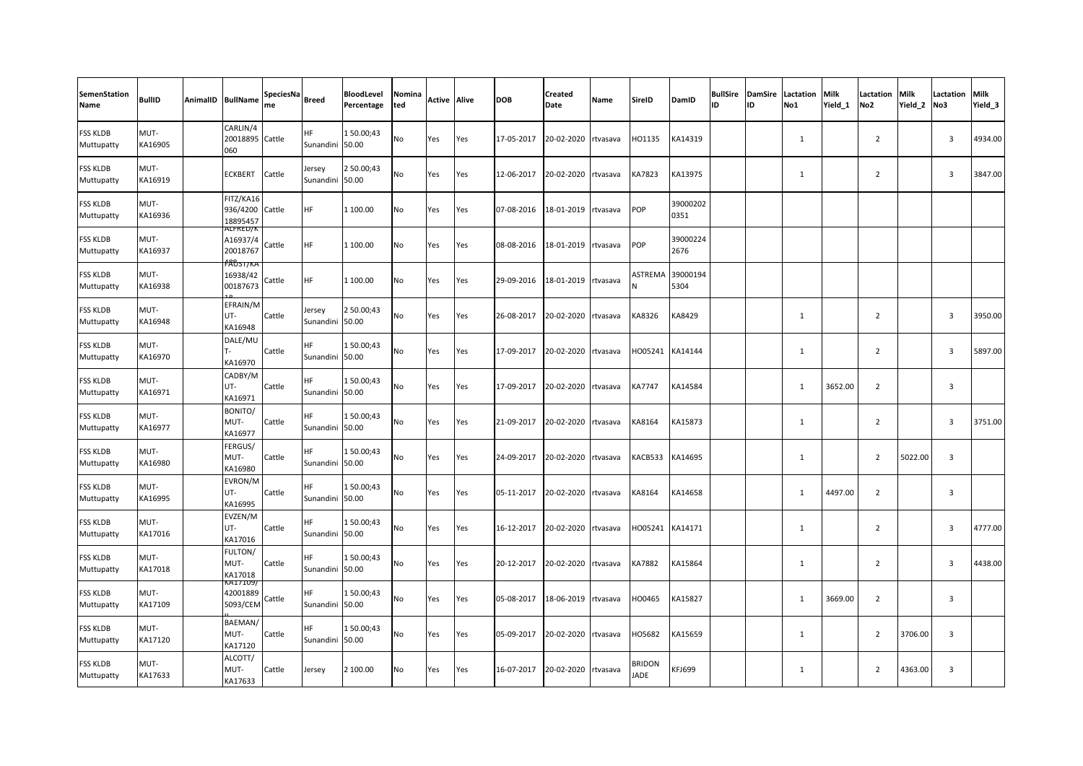| SemenStation<br>Name          | <b>BullID</b>   | AnimalID BullName                             | SpeciesNa<br>me | <b>Breed</b>              | BloodLevel<br>Percentage | Nomina<br>ted | <b>Active Alive</b> |     | <b>DOB</b> | <b>Created</b><br>Date | <b>Name</b> | <b>SireID</b>         | DamID            | <b>BullSire</b><br>ID | <b>DamSire</b><br>ID | Lactation<br>No1 | Milk<br>Yield 1 | Lactation<br>No <sub>2</sub> | Milk<br>Yield <sub>2</sub> | Lactation<br>No3        | Milk<br>Yield <sub>3</sub> |
|-------------------------------|-----------------|-----------------------------------------------|-----------------|---------------------------|--------------------------|---------------|---------------------|-----|------------|------------------------|-------------|-----------------------|------------------|-----------------------|----------------------|------------------|-----------------|------------------------------|----------------------------|-------------------------|----------------------------|
| <b>FSS KLDB</b><br>Muttupatty | MUT-<br>KA16905 | CARLIN/4<br>20018895 Cattle<br>060            |                 | HF.<br>Sunandini 50.00    | 150.00;43                | No            | Yes                 | Yes | 17-05-2017 | 20-02-2020             | rtvasava    | HO1135                | KA14319          |                       |                      | 1                |                 | $\overline{2}$               |                            | $\overline{3}$          | 4934.00                    |
| <b>FSS KLDB</b><br>Muttupatty | MUT-<br>KA16919 | ECKBERT                                       | Cattle          | lersey<br>Sunandini 50.00 | 2 50.00;43               | No            | Yes                 | Yes | 12-06-2017 | 20-02-2020             | rtvasava    | KA7823                | KA13975          |                       |                      | 1                |                 | $\overline{2}$               |                            | $\overline{3}$          | 3847.00                    |
| <b>FSS KLDB</b><br>Muttupatty | MUT-<br>KA16936 | FITZ/KA16<br>936/4200<br>18895457             | Cattle          | HF.                       | 1 100.00                 | No            | Yes                 | Yes | 07-08-2016 | 18-01-2019             | rtvasava    | POP                   | 39000202<br>0351 |                       |                      |                  |                 |                              |                            |                         |                            |
| <b>FSS KLDB</b><br>Muttupatty | MUT-<br>KA16937 | ALFKED/K<br>A16937/4<br>20018767              | Cattle          | HF                        | 1 100.00                 | No            | Yes                 | Yes | 08-08-2016 | 18-01-2019             | rtvasava    | POP                   | 39000224<br>2676 |                       |                      |                  |                 |                              |                            |                         |                            |
| <b>FSS KLDB</b><br>Muttupatty | MUT-<br>KA16938 | <del>188517 r.a</del><br>16938/42<br>00187673 | Cattle          | HF                        | 1 100.00                 | No            | Yes                 | Yes | 29-09-2016 | 18-01-2019             | rtvasava    | ASTREMA               | 39000194<br>5304 |                       |                      |                  |                 |                              |                            |                         |                            |
| <b>FSS KLDB</b><br>Muttupatty | MUT-<br>KA16948 | EFRAIN/M<br>UT-<br>KA16948                    | Cattle          | lersey<br>Sunandini 50.00 | 2 50.00;43               | No            | Yes                 | Yes | 26-08-2017 | 20-02-2020             | rtvasava    | KA8326                | KA8429           |                       |                      | 1                |                 | $\overline{2}$               |                            | $\overline{\mathbf{3}}$ | 3950.00                    |
| <b>FSS KLDB</b><br>Muttupatty | MUT-<br>KA16970 | DALE/MU<br>KA16970                            | Cattle          | ΗF<br>Sunandini 50.00     | 150.00;43                | No            | Yes                 | Yes | 17-09-2017 | 20-02-2020             | rtvasava    | HO05241               | KA14144          |                       |                      | 1                |                 | $\overline{2}$               |                            | $\overline{3}$          | 5897.00                    |
| <b>FSS KLDB</b><br>Muttupatty | MUT-<br>KA16971 | CADBY/M<br>UT-<br>KA16971                     | Cattle          | HF<br>Sunandini 50.00     | 150.00;43                | No            | Yes                 | Yes | 17-09-2017 | 20-02-2020             | rtvasava    | KA7747                | KA14584          |                       |                      | 1                | 3652.00         | $\overline{2}$               |                            | $\overline{3}$          |                            |
| <b>FSS KLDB</b><br>Muttupatty | MUT-<br>KA16977 | BONITO/<br>MUT-<br>KA16977                    | Cattle          | HF.<br>Sunandini 50.00    | 150.00;43                | No            | Yes                 | Yes | 21-09-2017 | 20-02-2020             | rtvasava    | KA8164                | KA15873          |                       |                      | 1                |                 | $\overline{2}$               |                            | $\overline{\mathbf{3}}$ | 3751.00                    |
| <b>FSS KLDB</b><br>Muttupatty | MUT-<br>KA16980 | FERGUS/<br>MUT-<br>KA16980                    | Cattle          | HF.<br>Sunandini 50.00    | 150.00;43                | No            | Yes                 | Yes | 24-09-2017 | 20-02-2020             | rtvasava    | KACB533               | KA14695          |                       |                      | $\mathbf{1}$     |                 | $\overline{2}$               | 5022.00                    | $\overline{\mathbf{3}}$ |                            |
| <b>FSS KLDB</b><br>Muttupatty | MUT-<br>KA16995 | EVRON/M<br>UT-<br>KA16995                     | Cattle          | HF<br>Sunandini 50.00     | 150.00;43                | No            | Yes                 | Yes | 05-11-2017 | 20-02-2020             | rtvasava    | KA8164                | KA14658          |                       |                      | 1                | 4497.00         | $\overline{2}$               |                            | $\overline{3}$          |                            |
| <b>FSS KLDB</b><br>Muttupatty | MUT-<br>KA17016 | EVZEN/M<br>UT-<br>KA17016                     | Cattle          | HF<br>Sunandini 50.00     | 150.00;43                | No            | Yes                 | Yes | 16-12-2017 | 20-02-2020             | rtvasava    | HO05241               | KA14171          |                       |                      | 1                |                 | $\overline{2}$               |                            | $\overline{\mathbf{3}}$ | 4777.00                    |
| <b>FSS KLDB</b><br>Muttupatty | MUT-<br>KA17018 | FULTON/<br>MUT-<br>KA17018                    | Cattle          | HF<br>Sunandini 50.00     | 150.00;43                | No            | Yes                 | Yes | 20-12-2017 | 20-02-2020             | rtvasava    | KA7882                | KA15864          |                       |                      | 1                |                 | $\overline{2}$               |                            | $\overline{\mathbf{3}}$ | 4438.00                    |
| <b>FSS KLDB</b><br>Muttupatty | MUT-<br>KA17109 | /A171U9<br>42001889<br>5093/CEM               | Cattle          | HF.<br>Sunandini 50.00    | 150.00;43                | No            | Yes                 | Yes | 05-08-2017 | 18-06-2019             | rtvasava    | HO0465                | KA15827          |                       |                      | 1                | 3669.00         | $\overline{2}$               |                            | $\overline{3}$          |                            |
| <b>FSS KLDB</b><br>Muttupatty | MUT-<br>KA17120 | BAEMAN/<br>MUT-<br>KA17120                    | Cattle          | НF<br>Sunandini 50.00     | 150.00;43                | No            | Yes                 | Yes | 05-09-2017 | 20-02-2020             | rtvasava    | HO5682                | KA15659          |                       |                      | 1                |                 | $\overline{2}$               | 3706.00                    | $\overline{\mathbf{3}}$ |                            |
| <b>FSS KLDB</b><br>Muttupatty | MUT-<br>KA17633 | ALCOTT/<br>MUT-<br>KA17633                    | Cattle          | Jersey                    | 2 100.00                 | No            | Yes                 | Yes | 16-07-2017 | 20-02-2020 rtvasava    |             | BRIDON<br><b>JADE</b> | KFJ699           |                       |                      | 1                |                 | $\overline{2}$               | 4363.00                    | $\overline{3}$          |                            |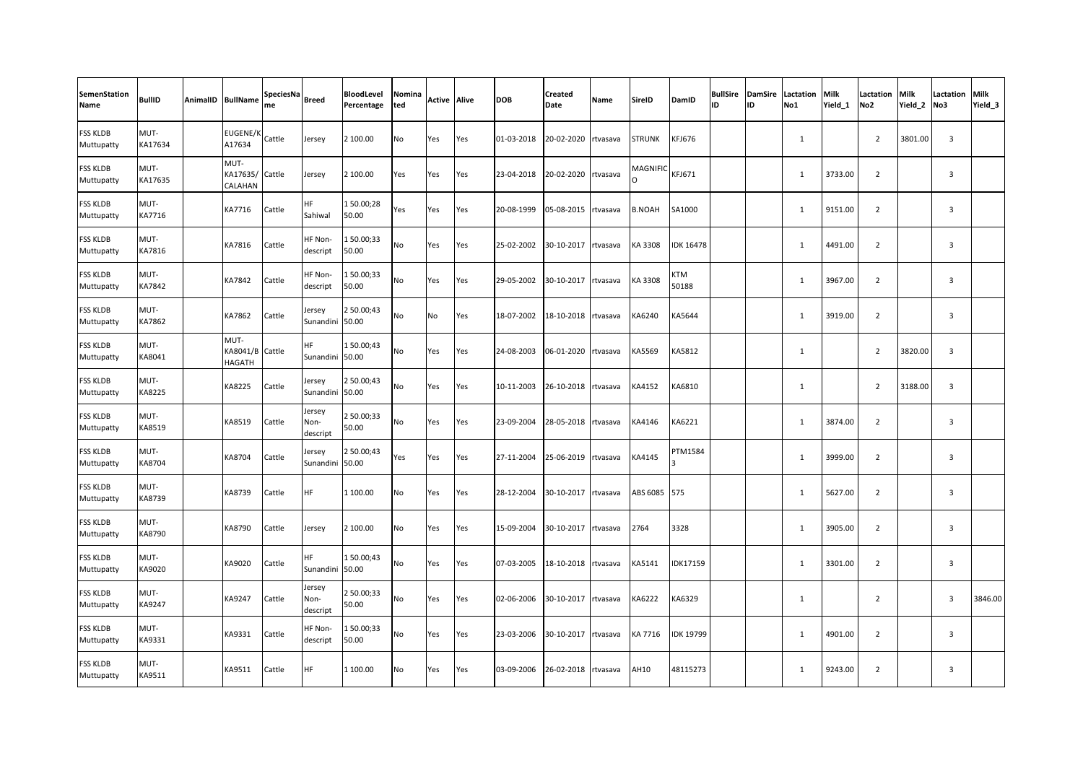| <b>SemenStation</b><br>Name   | <b>BullID</b>   | AnimalID BullName                        | SpeciesNa<br>me | <b>Breed</b>                 | BloodLevel<br>Percentage | Nomina<br>ted | <b>Active Alive</b> |     | <b>DOB</b> | Created<br>Date | Name     | <b>SireID</b> | DamID               | <b>BullSire</b><br>lıd | <b>DamSire</b><br>ID | Lactation<br>No1 | <b>Milk</b><br>Yield 1 | Lactation<br>No <sub>2</sub> | Milk<br>Yield 2 | Lactation<br>No3        | Milk<br>Yield_3 |
|-------------------------------|-----------------|------------------------------------------|-----------------|------------------------------|--------------------------|---------------|---------------------|-----|------------|-----------------|----------|---------------|---------------------|------------------------|----------------------|------------------|------------------------|------------------------------|-----------------|-------------------------|-----------------|
| <b>FSS KLDB</b><br>Muttupatty | MUT-<br>KA17634 | <b>EUGENE/K</b><br>A17634                | Cattle          | Jersey                       | 2 100.00                 | No            | Yes                 | Yes | 01-03-2018 | 20-02-2020      | rtvasava | <b>STRUNK</b> | <b>KFJ676</b>       |                        |                      | $\mathbf{1}$     |                        | $\overline{2}$               | 3801.00         | $\overline{3}$          |                 |
| <b>FSS KLDB</b><br>Muttupatty | MUT-<br>KA17635 | MUT-<br>KA17635/ Cattle<br>CALAHAN       |                 | Jersey                       | 2 100.00                 | Yes           | Yes                 | Yes | 23-04-2018 | 20-02-2020      | rtvasava | MAGNIFIC      | KFJ671              |                        |                      | 1                | 3733.00                | $\overline{2}$               |                 | $\overline{\mathbf{3}}$ |                 |
| <b>FSS KLDB</b><br>Muttupatty | MUT-<br>KA7716  | KA7716                                   | Cattle          | <b>HF</b><br>Sahiwal         | 150.00;28<br>50.00       | Yes           | Yes                 | Yes | 20-08-1999 | 05-08-2015      | rtvasava | <b>B.NOAH</b> | SA1000              |                        |                      | 1                | 9151.00                | $\overline{2}$               |                 | 3                       |                 |
| FSS KLDB<br>Muttupatty        | MUT-<br>KA7816  | KA7816                                   | Cattle          | HF Non-<br>descript          | 150.00;33<br>50.00       | No            | Yes                 | Yes | 25-02-2002 | 30-10-2017      | rtvasava | KA 3308       | <b>IDK 16478</b>    |                        |                      | 1                | 4491.00                | $\overline{2}$               |                 | 3                       |                 |
| FSS KLDB<br>Muttupatty        | MUT-<br>KA7842  | KA7842                                   | Cattle          | HF Non-<br>descript          | 150.00;33<br>50.00       | No            | Yes                 | Yes | 29-05-2002 | 30-10-2017      | rtvasava | KA 3308       | <b>KTM</b><br>50188 |                        |                      | $\mathbf{1}$     | 3967.00                | $\overline{2}$               |                 | $\overline{3}$          |                 |
| FSS KLDB<br>Muttupatty        | MUT-<br>KA7862  | KA7862                                   | Cattle          | Jersey<br>Sunandini          | 250.00;43<br>50.00       | No            | No                  | Yes | 18-07-2002 | 18-10-2018      | rtvasava | KA6240        | KA5644              |                        |                      | $\mathbf{1}$     | 3919.00                | $\overline{2}$               |                 | $\overline{3}$          |                 |
| FSS KLDB<br>Muttupatty        | MUT-<br>KA8041  | MUT-<br>KA8041/B Cattle<br><b>HAGATH</b> |                 | <b>HF</b><br>Sunandini 50.00 | 150.00;43                | No            | Yes                 | Yes | 24-08-2003 | 06-01-2020      | rtvasava | <b>KA5569</b> | KA5812              |                        |                      | $\mathbf{1}$     |                        | $\overline{2}$               | 3820.00         | $\overline{3}$          |                 |
| <b>FSS KLDB</b><br>Muttupatty | MUT-<br>KA8225  | KA8225                                   | Cattle          | Jersey<br>Sunandini          | 2 50.00;43<br>50.00      | No            | Yes                 | Yes | 10-11-2003 | 26-10-2018      | rtvasava | KA4152        | KA6810              |                        |                      | $\mathbf{1}$     |                        | $\overline{2}$               | 3188.00         | $\overline{3}$          |                 |
| FSS KLDB<br>Muttupatty        | MUT-<br>KA8519  | KA8519                                   | Cattle          | Jersey<br>Non-<br>descript   | 2 50.00;33<br>50.00      | No            | Yes                 | Yes | 23-09-2004 | 28-05-2018      | rtvasava | KA4146        | KA6221              |                        |                      | $\mathbf{1}$     | 3874.00                | $\overline{2}$               |                 | 3                       |                 |
| <b>FSS KLDB</b><br>Muttupatty | MUT-<br>KA8704  | KA8704                                   | Cattle          | Jersey<br>Sunandini          | 2 50.00;43<br>50.00      | Yes           | Yes                 | Yes | 27-11-2004 | 25-06-2019      | rtvasava | KA4145        | PTM1584             |                        |                      | 1                | 3999.00                | $\overline{2}$               |                 | $\overline{\mathbf{3}}$ |                 |
| FSS KLDB<br>Muttupatty        | MUT-<br>KA8739  | KA8739                                   | Cattle          | HF                           | 1 100.00                 | No            | Yes                 | Yes | 28-12-2004 | 30-10-2017      | rtvasava | ABS 6085      | 575                 |                        |                      | 1                | 5627.00                | $\overline{2}$               |                 | $\overline{3}$          |                 |
| FSS KLDB<br>Muttupatty        | MUT-<br>KA8790  | KA8790                                   | Cattle          | Jersey                       | 2 100.00                 | <b>No</b>     | Yes                 | Yes | 15-09-2004 | 30-10-2017      | rtvasava | 2764          | 3328                |                        |                      | 1                | 3905.00                | $\overline{2}$               |                 | 3                       |                 |
| FSS KLDB<br>Muttupatty        | MUT-<br>KA9020  | KA9020                                   | Cattle          | HF<br>Sunandini 50.00        | 150.00;43                | No            | Yes                 | Yes | 07-03-2005 | 18-10-2018      | rtvasava | KA5141        | IDK17159            |                        |                      | $\mathbf{1}$     | 3301.00                | $\overline{2}$               |                 | $\overline{3}$          |                 |
| FSS KLDB<br>Muttupatty        | MUT-<br>KA9247  | KA9247                                   | Cattle          | Jersey<br>Non-<br>descript   | 2 50.00;33<br>50.00      | No            | Yes                 | Yes | 02-06-2006 | 30-10-2017      | rtvasava | KA6222        | KA6329              |                        |                      | $\mathbf{1}$     |                        | $\overline{2}$               |                 | $\overline{3}$          | 3846.00         |
| <b>FSS KLDB</b><br>Muttupatty | MUT-<br>KA9331  | KA9331                                   | Cattle          | HF Non-<br>descript          | 150.00;33<br>50.00       | No            | Yes                 | Yes | 23-03-2006 | 30-10-2017      | rtvasava | KA 7716       | <b>IDK 19799</b>    |                        |                      | $\mathbf{1}$     | 4901.00                | $\overline{2}$               |                 | $\overline{3}$          |                 |
| FSS KLDB<br>Muttupatty        | MUT-<br>KA9511  | KA9511                                   | Cattle          | HF                           | 1 100.00                 | No            | Yes                 | Yes | 03-09-2006 | 26-02-2018      | rtvasava | AH10          | 48115273            |                        |                      | 1                | 9243.00                | $\overline{2}$               |                 | $\overline{3}$          |                 |